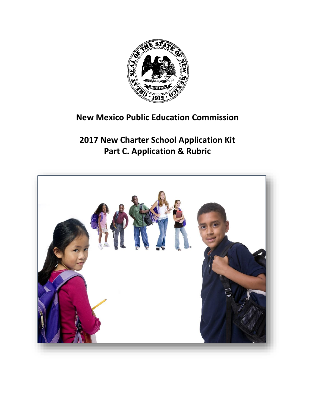

# **New Mexico Public Education Commission**

**2017 New Charter School Application Kit Part C. Application & Rubric**

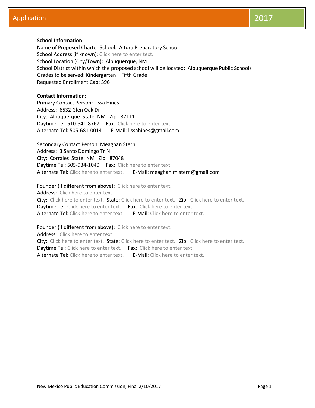## **School Information:**

Name of Proposed Charter School: Altura Preparatory School School Address (if known): Click here to enter text. School Location (City/Town): Albuquerque, NM School District within which the proposed school will be located: Albuquerque Public Schools Grades to be served: Kindergarten – Fifth Grade Requested Enrollment Cap: 396

## **Contact Information:**

Primary Contact Person: Lissa Hines Address: 6532 Glen Oak Dr City: Albuquerque State: NM Zip: 87111 Daytime Tel: 510-541-8767 Fax: Click here to enter text. Alternate Tel: 505-681-0014 E-Mail: lissahines@gmail.com

Secondary Contact Person: Meaghan Stern Address: 3 Santo Domingo Tr N City: Corrales State: NM Zip: 87048 Daytime Tel: 505-934-1040 Fax: Click here to enter text. Alternate Tel: Click here to enter text. E-Mail: meaghan.m.stern@gmail.com

Founder (if different from above): Click here to enter text. Address: Click here to enter text.

City: Click here to enter text. State: Click here to enter text. Zip: Click here to enter text. Daytime Tel: Click here to enter text. Fax: Click here to enter text. Alternate Tel: Click here to enter text. E-Mail: Click here to enter text.

Founder (if different from above): Click here to enter text.

Address: Click here to enter text. City: Click here to enter text. State: Click here to enter text. Zip: Click here to enter text. Daytime Tel: Click here to enter text. Fax: Click here to enter text. Alternate Tel: Click here to enter text. E-Mail: Click here to enter text.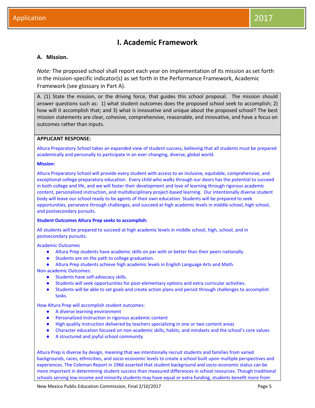## **I. Academic Framework**

## **A. Mission.**

*Note:* The proposed school shall report each year on implementation of its mission as set forth in the mission-specific indicator(s) as set forth in the Performance Framework, Academic Framework (see glossary in Part A).

A. (1) State the mission, or the driving force, that guides this school proposal. The mission should answer questions such as: 1) what student outcomes does the proposed school seek to accomplish; 2) how will it accomplish that; and 3) what is innovative and unique about the proposed school? The best mission statements are clear, cohesive, comprehensive, reasonable, and innovative, and have a focus on outcomes rather than inputs.

#### **APPLICANT RESPONSE:**

Altura Preparatory School takes an expanded view of student success, believing that all students must be prepared academically and personally to participate in an ever-changing, diverse, global world.

#### **Mission:**

Altura Preparatory School will provide every student with access to an inclusive, equitable, comprehensive, and exceptional college preparatory education. Every child who walks through our doors has the potential to succeed in both college and life, and we will foster their development and love of learning through rigorous academic content, personalized instruction, and multidisciplinary project-based learning. Our intentionally diverse student body will leave our school ready to be agents of their own education. Students will be prepared to seek opportunities, persevere through challenges, and succeed at high academic levels in middle school, high school, and postsecondary pursuits.

## **Student Outcomes Altura Prep seeks to accomplish:**

All students will be prepared to succeed at high academic levels in middle school, high, school, and in postsecondary pursuits.

Academic Outcomes

- Altura Prep students have academic skills on par with or better than their peers nationally.
- Students are on the path to college graduation.
- Altura Prep students achieve high academic levels in English Language Arts and Math.

Non-academic Outcomes:

- Students have self-advocacy skills.
- Students will seek opportunities for post-elementary options and extra curricular activities.
- Students will be able to set goals and create action plans and persist through challenges to accomplish tasks.

How Altura Prep will accomplish student outcomes:

- A diverse learning environment
- Personalized instruction in rigorous academic content
- High quality instruction delivered by teachers specializing in one or two content areas
- Character education focused on non-academic skills, habits, and mindsets and the school's core values
- A structured and joyful school community

Altura Prep is diverse by design, meaning that we intentionally recruit students and families from varied backgrounds, races, ethnicities, and socio-economic levels to create a school built upon multiple perspectives and experiences. The Coleman Report in 1966 asserted that student background and socio-economic status can be more important in determining student success than measured differences in school resources. Though traditional schools serving low income and minority students may have equal or extra funding, students benefit more from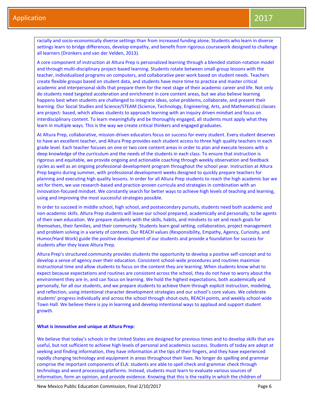racially and socio-economically diverse settings than from increased funding alone. Students who learn in diverse settings learn to bridge differences, develop empathy, and benefit from rigorous coursework designed to challenge all learners (Dronkers and van der Velden, 2013).

A core component of instruction at Altura Prep is personalized learning through a blended station-rotation model and through multi-disciplinary project-based learning. Students rotate between small-group lessons with the teacher, individualized programs on computers, and collaborative peer work based on student needs. Teachers create flexible groups based on student data, and students have more time to practice and master critical academic and interpersonal skills that prepare them for the next stage of their academic career and life. Not only do students need targeted acceleration and enrichment in core content areas, but we also believe learning happens best when students are challenged to integrate ideas, solve problems, collaborate, and present their learning. Our Social Studies and Science/STEAM (Science, Technology, Engineering, Arts, and Mathematics) classes are project- based, which allows students to approach learning with an inquiry driven mindset and focus on interdisciplinary content. To learn meaningfully and be thoroughly engaged, all students must apply what they learn in multiple ways. This is the way we create critical thinkers and engaged graduates.

At Altura Prep, collaborative, mission-driven educators focus on success for every student. Every student deserves to have an excellent teacher, and Altura Prep provides each student access to three high quality teachers in each grade level. Each teacher focuses on one or two core content areas in order to plan and execute lessons with a deep knowledge of the curriculum and the needs of the students in each class. To ensure that instruction is rigorous and equitable, we provide ongoing and actionable coaching through weekly observation and feedback cycles as well as an ongoing professional development program throughout the school year. Instruction at Altura Prep begins during summer, with professional development weeks designed to quickly prepare teachers for planning and executing high quality lessons. In order for all Altura Prep students to reach the high academic bar we set for them, we use research-based and practice-proven curricula and strategies in combination with an innovation-focused mindset. We constantly search for better ways to achieve high levels of teaching and learning, using and improving the most successful strategies possible.

In order to succeed in middle school, high school, and postsecondary pursuits, students need both academic and non-academic skills. Altura Prep students will leave our school prepared, academically and personally, to be agents of their own education. We prepare students with the skills, habits, and mindsets to set and reach goals for themselves, their families, and their community. Students learn goal setting, collaboration, project management and problem solving in a variety of contexts. Our REACH values (Responsibility, Empathy, Agency, Curiosity, and Humor/Hard Work) guide the positive development of our students and provide a foundation for success for students after they leave Altura Prep.

Altura Prep's structured community provides students the opportunity to develop a positive self-concept and to develop a sense of agency over their education. Consistent school-wide procedures and routines maximize instructional time and allow students to focus on the content they are learning. When students know what to expect because expectations and routines are consistent across the school, they do not have to worry about the environment they are in, and can focus on learning. We hold the highest expectations, both academically and personally, for all our students, and we prepare students to achieve them through explicit instruction, modeling, and reflection, using intentional character development strategies and our school's core values. We celebrate students' progress individually and across the school through shout-outs, REACH points, and weekly school-wide Town Hall. We believe there is joy in learning and develop intentional ways to applaud and support student growth.

#### **What is innovative and unique at Altura Prep:**

We believe that today's schools in the United States are designed for previous times and to develop skills that are useful, but not sufficient to achieve high levels of personal and academics success. Students of today are adept at seeking and finding information, they have information at the tips of their fingers, and they have experienced rapidly changing technology and equipment in areas throughout their lives. No longer do spelling and grammar comprise the important components of ELA: students are able to spell check and grammar check through technology and word processing platforms. Instead, students must learn to evaluate various sources of information, form an opinion, and provide evidence. Knowing that this is the reality in which the children of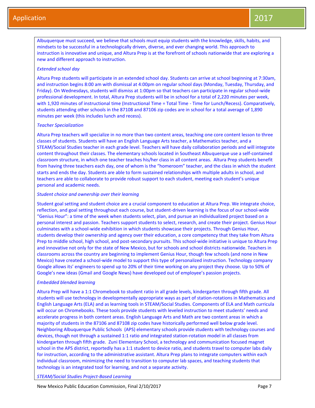Albuquerque must succeed, we believe that schools must equip students with the knowledge, skills, habits, and mindsets to be successful in a technologically driven, diverse, and ever changing world. This approach to instruction is innovative and unique, and Altura Prep is at the forefront of schools nationwide that are exploring a new and different approach to instruction.

#### *Extended school day*

Altura Prep students will participate in an extended school day. Students can arrive at school beginning at 7:30am, and instruction begins 8:00 am with dismissal at 4:00pm on regular school days (Monday, Tuesday, Thursday, and Friday). On Wednesdays, students will dismiss at 1:00pm so that teachers can participate in regular school-wide professional development. In total, Altura Prep students will be in school for a total of 2,220 minutes per week, with 1,920 minutes of instructional time (Instructional Time = Total Time - Time for Lunch/Recess). Comparatively, students attending other schools in the 87108 and 87106 zip codes are in school for a total average of 1,890 minutes per week (this includes lunch and recess).

#### *Teacher Specialization*

Altura Prep teachers will specialize in no more than two content areas, teaching one core content lesson to three classes of students. Students will have an English Language Arts teacher, a Mathematics teacher, and a STEAM/Social Studies teacher in each grade level. Teachers will have daily collaboration periods and will integrate content throughout their classes. The elementary schools located in Southeast Albuquerque use a self-contained classroom structure, in which one teacher teaches his/her class in all content areas. Altura Prep students benefit from having three teachers each day, one of whom is the "homeroom" teacher, and the class in which the student starts and ends the day. Students are able to form sustained relationships with multiple adults in school, and teachers are able to collaborate to provide robust support to each student, meeting each student's unique personal and academic needs.

#### *Student choice and ownership over their learning*

Student goal setting and student choice are a crucial component to education at Altura Prep. We integrate choice, reflection, and goal setting throughout each course, but student-driven learning is the focus of our school-wide "Genius Hour": a time of the week when students select, plan, and pursue an individualized project based on a personal interest and passion. Teachers support students to select, research, and create their project. Genius Hour culminates with a school-wide exhibition in which students showcase their projects. Through Genius Hour, students develop their ownership and agency over their education, a core competency that they take from Altura Prep to middle school, high school, and post-secondary pursuits. This school-wide initiative is unique to Altura Prep and innovative not only for the state of New Mexico, but for schools and school districts nationwide. Teachers in classrooms across the country are beginning to implement Genius Hour, though few schools (and none in New Mexico) have created a school-wide model to support this type of personalized instruction. Technology company Google allows its' engineers to spend up to 20% of their time working on any project they choose. Up to 50% of Google's new ideas (Gmail and Google News) have developed out of employee's passion projects.

## *Embedded blended learning*

Altura Prep will have a 1:1 Chromebook to student ratio in all grade levels, kindergarten through fifth grade. All students will use technology in developmentally appropriate ways as part of station-rotations in Mathematics and English Language Arts (ELA) and as learning tools in STEAM/Social Studies. Components of ELA and Math curricula will occur on Chromebooks. These tools provide students with leveled instruction to meet students' needs and accelerate progress in both content areas. English Language Arts and Math are two content areas in which a majority of students in the 87106 and 87108 zip codes have historically performed well below grade level. Neighboring Albuquerque Public Schools (APS) elementary schools provide students with technology courses and devices, though not through a sustained 1:1 ratio *and* integrated station-rotation model in all classes from kindergarten through fifth grade. Zuni Elementary School, a technology and communication focused magnet school in the APS district, reportedly has a 1:1 student to device ratio, and students travel to computer labs daily for instruction, according to the administrative assistant. Altura Prep plans to integrate computers within each individual classroom, minimizing the need to transition to computer lab spaces, and teaching students that technology is an integrated tool for learning, and not a separate activity.

*STEAM/Social Studies Project-Based Learning*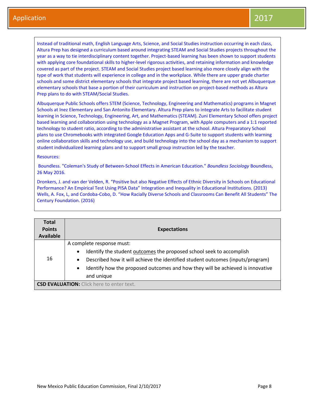Instead of traditional math, English Language Arts, Science, and Social Studies instruction occurring in each class, Altura Prep has designed a curriculum based around integrating STEAM and Social Studies projects throughout the year as a way to tie interdisciplinary content together. Project-based learning has been shown to support students with applying core foundational skills to higher-level rigorous activities, and retaining information and knowledge covered as part of the project. STEAM and Social Studies project based learning also more closely align with the type of work that students will experience in college and in the workplace. While there are upper grade charter schools and some district elementary schools that integrate project based learning, there are not yet Albuquerque elementary schools that base a portion of their curriculum and instruction on project-based methods as Altura Prep plans to do with STEAM/Social Studies.

Albuquerque Public Schools offers STEM (Science, Technology, Engineering and Mathematics) programs in Magnet Schools at Inez Elementary and San Antonito Elementary. Altura Prep plans to integrate Arts to facilitate student learning in Science, Technology, Engineering, Art, and Mathematics (STEAM). Zuni Elementary School offers project based learning and collaboration using technology as a Magnet Program, with Apple computers and a 1:1 reported technology to student ratio, according to the administrative assistant at the school. Altura Preparatory School plans to use Chromebooks with integrated Google Education Apps and G-Suite to support students with learning online collaboration skills and technology use, and build technology into the school day as a mechanism to support student individualized learning plans and to support small group instruction led by the teacher.

Resources:

Boundless. "Coleman's Study of Between-School Effects in American Education." *Boundless Sociology* Boundless, 26 May 2016.

Dronkers, J. and van der Velden, R. "Positive but also Negative Effects of Ethnic Diversity in Schools on Educational Performance? An Empirical Test Using PISA Data" Integration and Inequality in Educational Institutions. (2013) Wells, A. Fox, L, and Cordoba-Cobo, D. "How Racially Diverse Schools and Classrooms Can Benefit All Students" The Century Foundation. (2016)

| <b>Total</b><br><b>Points</b><br><b>Available</b> | <b>Expectations</b>                                                                                                                                                                                                                                                                                                        |
|---------------------------------------------------|----------------------------------------------------------------------------------------------------------------------------------------------------------------------------------------------------------------------------------------------------------------------------------------------------------------------------|
| 16                                                | A complete response must:<br>Identify the student outcomes the proposed school seek to accomplish<br>$\bullet$<br>Described how it will achieve the identified student outcomes (inputs/program)<br>$\bullet$<br>Identify how the proposed outcomes and how they will be achieved is innovative<br>$\bullet$<br>and unique |
|                                                   | <b>CSD EVALUATION:</b> Click here to enter text.                                                                                                                                                                                                                                                                           |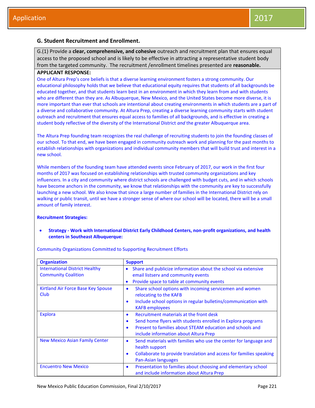## **G. Student Recruitment and Enrollment.**

G.(1) Provide a **clear, comprehensive, and cohesive** outreach and recruitment plan that ensures equal access to the proposed school and is likely to be effective in attracting a representative student body from the targeted community. The recruitment /enrollment timelines presented are **reasonable.**

## **APPLICANT RESPONSE:**

One of Altura Prep's core beliefs is that a diverse learning environment fosters a strong community. Our educational philosophy holds that we believe that educational equity requires that students of all backgrounds be educated together, and that students learn best in an environment in which they learn from and with students who are different than they are. As Albuquerque, New Mexico, and the United States become more diverse, it is more important than ever that schools are intentional about creating environments in which students are a part of a diverse and collaborative community. At Altura Prep, creating a diverse learning community starts with student outreach and recruitment that ensures equal access to families of all backgrounds, and is effective in creating a student body reflective of the diversity of the International District *and* the greater Albuquerque area.

The Altura Prep founding team recognizes the real challenge of recruiting students to join the founding classes of our school. To that end, we have been engaged in community outreach work and planning for the past months to establish relationships with organizations and individual community members that will build trust and interest in a new school.

While members of the founding team have attended events since February of 2017, our work in the first four months of 2017 was focused on establishing relationships with trusted community organizations and key influencers. In a city and community where district schools are challenged with budget cuts, and in which schools have become anchors in the community, we know that relationships with the community are key to successfully launching a new school. We also know that since a large number of families in the International District rely on walking or public transit, until we have a stronger sense of where our school will be located, there will be a small amount of family interest.

#### **Recruitment Strategies:**

 **Strategy - Work with International District Early Childhood Centers, non-profit organizations, and health centers in Southeast Albuquerque:**

| <b>Organization</b>                                                 | <b>Support</b>                                                                                                                                                                                                                              |
|---------------------------------------------------------------------|---------------------------------------------------------------------------------------------------------------------------------------------------------------------------------------------------------------------------------------------|
| <b>International District Healthy</b><br><b>Community Coalition</b> | Share and publicize information about the school via extensive<br>$\bullet$<br>email listserv and community events<br>Provide space to table at community events<br>$\bullet$                                                               |
| Kirtland Air Force Base Key Spouse<br>Club                          | Share school options with incoming servicemen and women<br>٠<br>relocating to the KAFB<br>Include school options in regular bulletins/communication with<br>٠<br><b>KAFB</b> employees                                                      |
| <b>Explora</b>                                                      | Recruitment materials at the front desk<br>$\bullet$<br>Send home flyers with students enrolled in Explora programs<br>٠<br>Present to families about STEAM education and schools and<br>$\bullet$<br>include information about Altura Prep |
| New Mexico Asian Family Center                                      | Send materials with families who use the center for language and<br>$\bullet$<br>health support<br>Collaborate to provide translation and access for families speaking<br>$\bullet$<br>Pan-Asian languages                                  |
| <b>Encuentro New Mexico</b>                                         | Presentation to families about choosing and elementary school<br>$\bullet$<br>and include information about Altura Prep                                                                                                                     |

Community Organizations Committed to Supporting Recruitment Efforts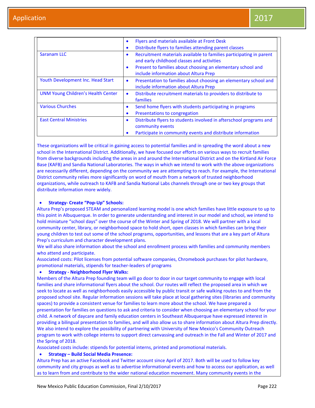|                                           | Flyers and materials available at Front Desk<br>$\bullet$<br>Distribute flyers to families attending parent classes<br>٠       |
|-------------------------------------------|--------------------------------------------------------------------------------------------------------------------------------|
| Saranam LLC                               | Recruitment materials available to families participating in parent<br>$\bullet$<br>and early childhood classes and activities |
|                                           | Present to families about choosing an elementary school and<br>$\bullet$<br>include information about Altura Prep              |
| Youth Development Inc. Head Start         | Presentation to families about choosing an elementary school and<br>$\bullet$<br>include information about Altura Prep         |
| <b>UNM Young Children's Health Center</b> | Distribute recruitment materials to providers to distribute to<br>$\bullet$<br>families                                        |
| <b>Various Churches</b>                   | Send home flyers with students participating in programs<br>$\bullet$<br>Presentations to congregation<br>$\bullet$            |
| <b>East Central Ministries</b>            | Distribute flyers to students involved in afterschool programs and<br>$\bullet$<br>community events                            |
|                                           | Participate in community events and distribute information<br>٠                                                                |

These organizations will be critical in gaining access to potential families and in spreading the word about a new school in the International District. Additionally, we have focused our efforts on various ways to recruit families from diverse backgrounds including the areas in and around the International District and on the Kirtland Air Force Base (KAFB) and Sandia National Laboratories. The ways in which we intend to work with the above organizations are necessarily different, depending on the community we are attempting to reach. For example, the International District community relies more significantly on word of mouth from a network of trusted neighborhood organizations, while outreach to KAFB and Sandia National Labs channels through one or two key groups that distribute information more widely.

#### **Strategy- Create "Pop-Up" Schools:**

Altura Prep's proposed STEAM and personalized learning model is one which families have little exposure to up to this point in Albuquerque. In order to generate understanding and interest in our model and school, we intend to hold miniature "school days" over the course of the Winter and Spring of 2018. We will partner with a local community center, library, or neighborhood space to hold short, open classes in which families can bring their young children to test out some of the school programs, opportunities, and lessons that are a key part of Altura Prep's curriculum and character development plans.

We will also share information about the school and enrollment process with families and community members who attend and participate.

Associated costs: Pilot licenses from potential software companies, Chromebook purchases for pilot hardware, promotional materials, stipends for teacher-leaders of programs

## **Strategy - Neighborhood Flyer Walks:**

Members of the Altura Prep founding team will go door to door in our target community to engage with local families and share informational flyers about the school. Our routes will reflect the proposed area in which we seek to locate as well as neighborhoods easily accessible by public transit or safe walking routes to and from the proposed school site. Regular information sessions will take place at local gathering sites (libraries and community spaces) to provide a consistent venue for families to learn more about the school. We have prepared a presentation for families on questions to ask and criteria to consider when choosing an elementary school for your child. A network of daycare and family education centers in Southeast Albuquerque have expressed interest in providing a bilingual presentation to families, and will also allow us to share information about Altura Prep directly. We also intend to explore the possibility of partnering with University of New Mexico's Community Outreach program to work with college interns to support direct canvassing and outreach in the Fall and Winter of 2017 and the Spring of 2018.

Associated costs include: stipends for potential interns, printed and promotional materials.

#### **Strategy – Build Social Media Presence:**

Altura Prep has an active Facebook and Twitter account since April of 2017. Both will be used to follow key community and city groups as well as to advertise informational events and how to access our application, as well as to learn from and contribute to the wider national education movement. Many community events in the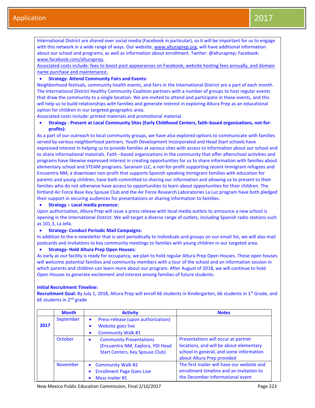International District are shared over social media (Facebook in particular), so it will be important for us to engage with this network in a wide range of ways. Our website, [www.alturaprep.org,](http://www.alturaprep.org/) will have additional information about our school and programs, as well as information about enrollment. Twitter: @alturaprep; Facebook: [www.facebook.com/alturaprep.](http://www.facebook.com/alturaprep)

Associated costs include: fees to boost post appearances on Facebook, website hosting fees annually, and domain name purchase and maintenance.

#### **Strategy- Attend Community Fairs and Events:**

Neighborhood festivals, community health events, and fairs in the International District are a part of each month. The International District Healthy Community Coalition partners with a number of groups to host regular events that draw the community to a single location. We are invited to attend and participate in these events, and this will help us to build relationships with families and generate interest in exploring Altura Prep as an educational option for children in our targeted geographic area.

Associated costs include: printed materials and promotional material.

## **Strategy - Present at Local Community Sites (Early Childhood Centers, faith-based organizations, not-forprofits):**

As a part of our outreach to local community groups, we have also explored options to communicate with families served by various neighborhood partners. Youth Development Incorporated and Head Start schools have expressed interest in helping us to provide families at various sites with access to information about our school and to share informational materials. Faith –based organizations in the community that offer afterschool activities and programs have likewise expressed interest in creating opportunities for us to share information with families about elementary school and STEAM programs. Saranam LLC, a not-for-profit supporting recent immigrant refugees and Encuentro NM, a downtown non-profit that supports Spanish speaking immigrant families with education for parents and young children, have both committed to sharing our information and allowing us to present to their families who do not otherwise have access to opportunities to learn about opportunities for their children. The Kirtland Air Force Base Key Spouse Club and the Air Force Research Laboratories La Luz program have both pledged their support in securing audiences for presentations or sharing information to families.

#### **Strategy – Local media presence:**

Upon authorization, Altura Prep will issue a press release with local media outlets to announce a new school is opening in the International District. We will target a diverse range of outlets, including Spanish radio stations such as 101.3, La Jefa.

#### **Strategy- Conduct Periodic Mail Campaigns:**

In addition to the e-newsletter that is sent periodically to individuals and groups on our email list, we will also mail postcards and invitations to key community meetings to families with young children in our targeted area.

#### **Strategy- Hold Altura Prep Open Houses:**

As early as our facility is ready for occupancy, we plan to hold regular Altura Prep Open Houses. These open houses will welcome potential families and community members with a tour of the school and an information session in which parents and children can learn more about our program. After August of 2018, we will continue to hold Open Houses to generate excitement and interest among families of future students.

#### **Initial Recruitment Timeline:**

**Recruitment Goal:** By July 1, 2018, Altura Prep will enroll 66 students in Kindergarten, 66 students in 1<sup>st</sup> Grade, and 66 students in 2nd grade

|      | <b>Month</b>    | <b>Activity</b>                                                                                                           | <b>Notes</b>                                                                                                                                            |
|------|-----------------|---------------------------------------------------------------------------------------------------------------------------|---------------------------------------------------------------------------------------------------------------------------------------------------------|
| 2017 | September       | Press-release (upon authorization)<br>$\bullet$<br>Website goes live<br><b>Community Walk #1</b>                          |                                                                                                                                                         |
|      | October         | <b>Community Presentations</b><br>$\bullet$<br>(Encuentro NM, Explora, YDI Head<br><b>Start Centers, Key Spouse Club)</b> | Presentations will occur at partner<br>locations, and will be about elementary<br>school in general, and some information<br>about Altura Prep provided |
|      | <b>November</b> | <b>Community Walk #2</b><br>$\bullet$<br><b>Enrollment Page Goes Live</b><br>Mass mailer #1                               | The first mailer will have our website and<br>enrollment timeline and an invitation to<br>the December informational event                              |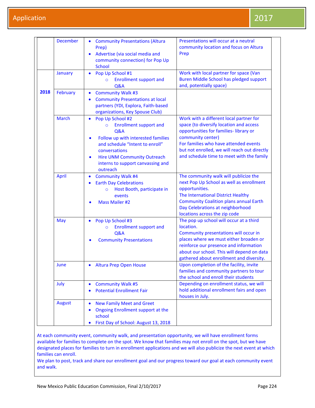|      | <b>December</b> | <b>Community Presentations (Altura</b><br>$\bullet$<br>Prep)<br>Advertise (via social media and<br>$\bullet$<br>community connection) for Pop Up<br><b>School</b>                                                                                                                                      | Presentations will occur at a neutral<br>community location and focus on Altura<br>Prep                                                                                                                                                                                                |
|------|-----------------|--------------------------------------------------------------------------------------------------------------------------------------------------------------------------------------------------------------------------------------------------------------------------------------------------------|----------------------------------------------------------------------------------------------------------------------------------------------------------------------------------------------------------------------------------------------------------------------------------------|
|      | January         | Pop Up School #1<br>$\bullet$<br><b>Enrollment support and</b><br>$\circ$<br>Q&A                                                                                                                                                                                                                       | Work with local partner for space (Van<br><b>Buren Middle School has pledged support</b><br>and, potentially space)                                                                                                                                                                    |
| 2018 | <b>February</b> | <b>Community Walk #3</b><br>$\bullet$<br><b>Community Presentations at local</b><br>$\bullet$<br>partners (YDI, Explora, Faith-based<br>organizations, Key Spouse Club)                                                                                                                                |                                                                                                                                                                                                                                                                                        |
|      | <b>March</b>    | Pop Up School #2<br>$\bullet$<br><b>Enrollment support and</b><br>$\circ$<br><b>Q&amp;A</b><br>Follow up with interested families<br>$\bullet$<br>and schedule "Intent to enroll"<br>conversations<br><b>Hire UNM Community Outreach</b><br>$\bullet$<br>interns to support canvassing and<br>outreach | Work with a different local partner for<br>space (to diversify location and access<br>opportunities for families-library or<br>community center)<br>For families who have attended events<br>but not enrolled, we will reach out directly<br>and schedule time to meet with the family |
|      | <b>April</b>    | <b>Community Walk #4</b><br>$\bullet$<br><b>Earth Day Celebrations</b><br>$\bullet$<br>Host Booth, participate in<br>$\circ$<br>events<br><b>Mass Mailer #2</b>                                                                                                                                        | The community walk will publicize the<br>next Pop Up School as well as enrollment<br>opportunities.<br>The International District Healthy<br><b>Community Coalition plans annual Earth</b><br>Day Celebrations at neighborhood<br>locations across the zip code                        |
|      | May             | Pop Up School #3<br>$\bullet$<br><b>Enrollment support and</b><br>$\circ$<br><b>Q&amp;A</b><br><b>Community Presentations</b>                                                                                                                                                                          | The pop up school will occur at a third<br>location.<br>Community presentations will occur in<br>places where we must either broaden or<br>reinforce our presence and information<br>about our school. This will depend on data<br>gathered about enrollment and diversity.            |
|      | June            | <b>Altura Prep Open House</b><br>$\bullet$                                                                                                                                                                                                                                                             | Upon completion of the facility, invite<br>families and community partners to tour<br>the school and enroll their students                                                                                                                                                             |
|      | July            | <b>Community Walk #5</b><br>$\bullet$<br><b>Potential Enrollment Fair</b>                                                                                                                                                                                                                              | Depending on enrollment status, we will<br>hold additional enrollment fairs and open<br>houses in July.                                                                                                                                                                                |
|      | <b>August</b>   | <b>New Family Meet and Greet</b><br>$\bullet$<br><b>Ongoing Enrollment support at the</b><br>$\bullet$<br>school<br>First Day of School: August 13, 2018<br>$\bullet$                                                                                                                                  |                                                                                                                                                                                                                                                                                        |

At each community event, community walk, and presentation opportunity, we will have enrollment forms available for families to complete on the spot. We know that families may not enroll on the spot, but we have designated places for families to turn in enrollment applications and we will also publicize the next event at which families can enroll.

We plan to post, track and share our enrollment goal and our progress toward our goal at each community event and walk.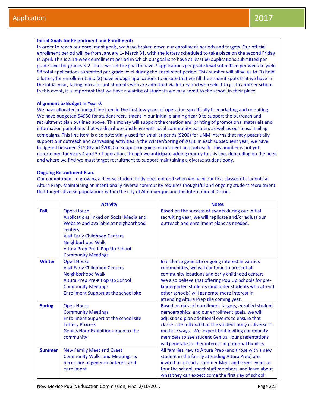#### **Initial Goals for Recruitment and Enrollment:**

In order to reach our enrollment goals, we have broken down our enrollment periods and targets. Our official enrollment period will be from January 1- March 31, with the lottery scheduled to take place on the second Friday in April. This is a 14-week enrollment period in which our goal is to have at least 66 applications submitted per grade level for grades K-2. Thus, we set the goal to have 7 applications per grade level submitted per week to yield 98 total applications submitted per grade level during the enrollment period. This number will allow us to (1) hold a lottery for enrollment and (2) have enough applications to ensure that we fill the student spots that we have in the initial year, taking into account students who are admitted via lottery and who select to go to another school. In this event, it is important that we have a waitlist of students we may admit to the school in their place.

#### **Alignment to Budget in Year 0:**

We have allocated a budget line item in the first few years of operation specifically to marketing and recruiting, We have budgeted \$4950 for student recruitment in our initial planning Year 0 to support the outreach and recruitment plan outlined above. This money will support the creation and printing of promotional materials and information pamphlets that we distribute and leave with local community partners as well as our mass mailing campaigns. This line item is also potentially used for small stipends (\$200) for UNM interns that may potentially support our outreach and canvassing activities in the Winter/Spring of 2018. In each subsequent year, we have budgeted between \$1500 and \$2000 to support ongoing recruitment and outreach. This number is not yet determined for years 4 and 5 of operation, though we anticipate adding money to this line, depending on the need and where we find we must target recruitment to support maintaining a diverse student body.

#### **Ongoing Recruitment Plan:**

Our commitment to growing a diverse student body does not end when we have our first classes of students at Altura Prep. Maintaining an intentionally diverse community requires thoughtful and ongoing student recruitment that targets diverse populations within the city of Albuquerque and the International District.

|               | <b>Activity</b>                                                                                                                                                                                                                                      | <b>Notes</b>                                                                                                                                                                                                                                                                                                                                                                              |
|---------------|------------------------------------------------------------------------------------------------------------------------------------------------------------------------------------------------------------------------------------------------------|-------------------------------------------------------------------------------------------------------------------------------------------------------------------------------------------------------------------------------------------------------------------------------------------------------------------------------------------------------------------------------------------|
| Fall          | <b>Open House</b><br>Applications linked on Social Media and<br>Website and available at neighborhood<br>centers<br><b>Visit Early Childhood Centers</b><br><b>Neighborhood Walk</b><br>Altura Prep Pre-K Pop Up School<br><b>Community Meetings</b> | Based on the success of events during our initial<br>recruiting year, we will replicate and/or adjust our<br>outreach and enrollment plans as needed.                                                                                                                                                                                                                                     |
| <b>Winter</b> | <b>Open House</b><br><b>Visit Early Childhood Centers</b><br><b>Neighborhood Walk</b><br>Altura Prep Pre-K Pop Up School<br><b>Community Meetings</b><br><b>Enrollment Support at the school site</b>                                                | In order to generate ongoing interest in various<br>communities, we will continue to present at<br>community locations and early childhood centers.<br>We also believe that offering Pop Up Schools for pre-<br>kindergarten students (and older students who attend<br>other schools) will generate more interest in<br>attending Altura Prep the coming year.                           |
| <b>Spring</b> | <b>Open House</b><br><b>Community Meetings</b><br><b>Enrollment Support at the school site</b><br><b>Lottery Process</b><br>Genius Hour Exhibitions open to the<br>community                                                                         | Based on data of enrollment targets, enrolled student<br>demographics, and our enrollment goals, we will<br>adjust and plan additional events to ensure that<br>classes are full and that the student body is diverse in<br>multiple ways. We expect that inviting community<br>members to see student Genius Hour presentations<br>will generate further interest of potential families. |
| <b>Summer</b> | <b>New Family Meet and Greet</b><br><b>Community Walks and Meetings as</b><br>necessary to generate interest and<br>enrollment                                                                                                                       | All families new to Altura Prep (and those with a new<br>student in the family attending Altura Prep) are<br>invited to attend a summer Meet and Greet event to<br>tour the school, meet staff members, and learn about<br>what they can expect come the first day of school.                                                                                                             |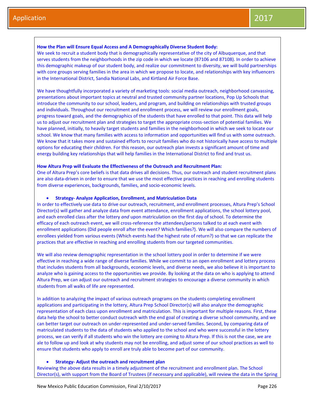#### **How the Plan will Ensure Equal Access and A Demographically Diverse Student Body:**

We seek to recruit a student body that is demographically representative of the city of Albuquerque, and that serves students from the neighborhoods in the zip code in which we locate (87106 and 87108). In order to achieve this demographic makeup of our student body, and realize our commitment to diversity, we will build partnerships with core groups serving families in the area in which we propose to locate, and relationships with key influencers in the International District, Sandia National Labs, and Kirtland Air Force Base.

We have thoughtfully incorporated a variety of marketing tools: social media outreach, neighborhood canvassing, presentations about important topics at neutral and trusted community partner locations, Pop Up Schools that introduce the community to our school, leaders, and program, and building on relationships with trusted groups and individuals. Throughout our recruitment and enrollment process, we will review our enrollment goals, progress toward goals, and the demographics of the students that have enrolled to that point. This data will help us to adjust our recruitment plan and strategies to target the appropriate cross-section of potential families. We have planned, initially, to heavily target students and families in the neighborhood in which we seek to locate our school. We know that many families with access to information and opportunities will find us with some outreach. We know that it takes more and sustained efforts to recruit families who do not historically have access to multiple options for educating their children. For this reason, our outreach plan invests a significant amount of time and energy building key relationships that will help families in the International District to find and trust us.

#### **How Altura Prep will Evaluate the Effectiveness of the Outreach and Recruitment Plan:**

One of Altura Prep's core beliefs is that data drives all decisions. Thus, our outreach and student recruitment plans are also data-driven in order to ensure that we use the most effective practices in reaching and enrolling students from diverse experiences, backgrounds, families, and socio-economic levels.

#### **Strategy- Analyze Application, Enrollment, and Matriculation Data**

In order to effectively use data to drive our outreach, recruitment, and enrollment processes, Altura Prep's School Director(s) will gather and analyze data from event attendance, enrollment applications, the school lottery pool, and each enrolled class after the lottery *and* upon matriculation on the first day of school. To determine the efficacy of each outreach event, we will cross-reference the attendees/persons talked to at each event with enrollment applications (Did people enroll after the event? Which families?). We will also compare the numbers of enrollees yielded from various events (Which events had the highest rate of return?) so that we can replicate the practices that are effective in reaching and enrolling students from our targeted communities.

We will also review demographic representation in the school lottery pool in order to determine if we were effective in reaching a wide range of diverse families. While we commit to an open enrollment and lottery process that includes students from all backgrounds, economic levels, and diverse needs, we also believe it is important to analyze who is gaining access to the opportunities we provide. By looking at the data on who is applying to attend Altura Prep, we can adjust our outreach and recruitment strategies to encourage a diverse community in which students from all walks of life are represented.

In addition to analyzing the impact of various outreach programs on the students completing enrollment applications and participating in the lottery, Altura Prep School Director(s) will also analyze the demographic representation of each class upon enrollment and matriculation. This is important for multiple reasons. First, these data help the school to better conduct outreach with the end goal of creating a diverse school community, and we can better target our outreach on under-represented and under-served families. Second, by comparing data of matriculated students to the data of students who applied to the school and who were successful in the lottery process, we can verify if all students who win the lottery are coming to Altura Prep. If this is not the case, we are ale to follow up and look at why students may not be enrolling, and adjust some of our school practices as well to ensure that students who apply to enroll are truly able to become part of our community.

#### **Strategy- Adjust the outreach and recruitment plan**

Reviewing the above data results in a timely adjustment of the recruitment and enrollment plan. The School Director(s), with support from the Board of Trustees (if necessary and applicable), will review the data in the Spring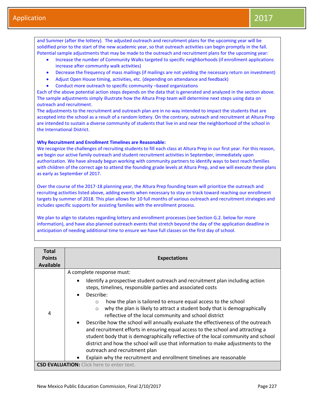and Summer (after the lottery). The adjusted outreach and recruitment plans for the upcoming year will be solidified prior to the start of the new academic year, so that outreach activities can begin promptly in the fall. Potential sample adjustments that may be made to the outreach and recruitment plans for the upcoming year:

- Increase the number of Community Walks targeted to specific neighborhoods (if enrollment applications increase after community walk activities)
- Decrease the frequency of mass mailings (if mailings are not yielding the necessary return on investment)
- Adjust Open House timing, activities, etc. (depending on attendance and feedback)
- Conduct more outreach to specific community –based organizations

Each of the above potential action steps depends on the data that is generated and analyzed in the section above. The sample adjustments simply illustrate how the Altura Prep team will determine next steps using data on outreach and recruitment.

The adjustments to the recruitment and outreach plan are in no way intended to impact the students that are accepted into the school as a result of a random lottery. On the contrary, outreach and recruitment at Altura Prep are intended to sustain a diverse community of students that live in and near the neighborhood of the school in the International District.

## **Why Recruitment and Enrollment Timelines are Reasonable:**

We recognize the challenges of recruiting students to fill each class at Altura Prep in our first year. For this reason, we begin our active family outreach and student recruitment activities in September, immediately upon authorization. We have already begun working with community partners to identify ways to best reach families with children of the correct age to attend the founding grade levels at Altura Prep, and we will execute these plans as early as September of 2017.

Over the course of the 2017-18 planning year, the Altura Prep founding team will prioritize the outreach and recruiting activities listed above, adding events when necessary to stay on track toward reaching our enrollment targets by summer of 2018. This plan allows for 10 full months of various outreach and recruitment strategies and includes specific supports for assisting families with the enrollment process.

We plan to align to statutes regarding lottery and enrollment processes (see Section G.2. below for more information), and have also planned outreach events that stretch beyond the day of the application deadline in anticipation of needing additional time to ensure we have full classes on the first day of school.

| <b>Total</b><br><b>Points</b><br><b>Available</b> | <b>Expectations</b>                                                                                                                                                                                                                                                                                                                                                                                                                                                                                                                                                                                                                                                              |
|---------------------------------------------------|----------------------------------------------------------------------------------------------------------------------------------------------------------------------------------------------------------------------------------------------------------------------------------------------------------------------------------------------------------------------------------------------------------------------------------------------------------------------------------------------------------------------------------------------------------------------------------------------------------------------------------------------------------------------------------|
| 4                                                 | A complete response must:<br>Identify a prospective student outreach and recruitment plan including action<br>steps, timelines, responsible parties and associated costs<br>Describe:<br>how the plan is tailored to ensure equal access to the school<br>$\bigcirc$<br>why the plan is likely to attract a student body that is demographically<br>$\circ$<br>reflective of the local community and school district<br>Describe how the school will annually evaluate the effectiveness of the outreach<br>and recruitment efforts in ensuring equal access to the school and attracting a<br>student body that is demographically reflective of the local community and school |
|                                                   | district and how the school will use that information to make adjustments to the<br>outreach and recruitment plan<br>Explain why the recruitment and enrollment timelines are reasonable                                                                                                                                                                                                                                                                                                                                                                                                                                                                                         |
|                                                   | <b>CSD EVALUATION:</b> Click here to enter text.                                                                                                                                                                                                                                                                                                                                                                                                                                                                                                                                                                                                                                 |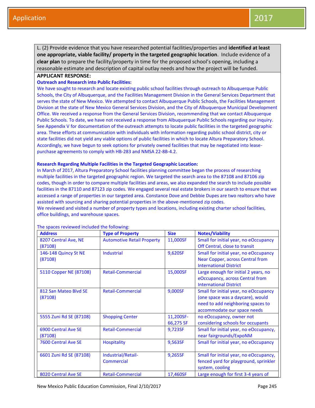L. (2) Provide evidence that you have researched potential facilities/properties and **identified at least one appropriate, viable facility/ property in the targeted geographic location**. Include evidence of a **clear plan** to prepare the facility/property in time for the proposed school's opening, including a reasonable estimate and description of capital outlay needs and how the project will be funded.

## **APPLICANT RESPONSE:**

## **Outreach and Research into Public Facilities:**

We have sought to research and locate existing public school facilities through outreach to Albuquerque Public Schools, the City of Albuquerque, and the Facilities Management Division in the General Services Department that serves the state of New Mexico. We attempted to contact Albuquerque Public Schools, the Facilities Management Division at the state of New Mexico General Services Division, and the City of Albuquerque Municipal Development Office. We received a response from the General Services Division, recommending that we contact Albuquerque Public Schools. To date, we have not received a response from Albuquerque Public Schools regarding our inquiry. See Appendix V for documentation of the outreach attempts to locate public facilities in the targeted geographic area. These efforts at communication with individuals with information regarding public school district, city or state facilities did not yield any viable options of public facilities in which to locate Altura Preparatory School. Accordingly, we have begun to seek options for privately owned facilities that may be negotiated into leasepurchase agreements to comply with HB-283 and NMSA 22-8B-4.2.

#### **Research Regarding Multiple Facilities in the Targeted Geographic Location:**

In March of 2017, Altura Preparatory School facilities planning committee began the process of researching multiple facilities in the targeted geographic region. We targeted the search area to the 87108 and 87106 zip codes, though in order to compare multiple facilities and areas, we also expanded the search to include possible facilities in the 87110 and 87123 zip codes. We engaged several real estate brokers in our search to ensure that we accessed a range of properties in our targeted area. Constance Dove and Debbie Dupes are two realtors who have assisted with sourcing and sharing potential properties in the above-mentioned zip codes.

We reviewed and visited a number of property types and locations, including existing charter school facilities, office buildings, and warehouse spaces.

| <b>Address</b>                   | <b>Type of Property</b>                 | <b>Size</b>            | <b>Notes/Viability</b>                                                                                                                        |
|----------------------------------|-----------------------------------------|------------------------|-----------------------------------------------------------------------------------------------------------------------------------------------|
| 8207 Central Ave, NE<br>(87108)  | <b>Automotive Retail Property</b>       | 11,000SF               | Small for initial year, no eOccupancy<br>Off Central, close to transit                                                                        |
| 146-148 Quincy St NE<br>(87108)  | <b>Industrial</b>                       | 9,620SF                | Small for initial year, no eOccupancy<br>Near Copper, across Central from<br><b>International District</b>                                    |
| 5110 Copper NE (87108)           | <b>Retail-Commercial</b>                | 15,000SF               | Large enough for initial 2 years, no<br>eOccupancy, across Central from<br><b>International District</b>                                      |
| 812 San Mateo Blvd SE<br>(87108) | <b>Retail-Commercial</b>                | 9,000SF                | Small for initial year, no eOccupancy<br>(one space was a daycare), would<br>need to add neighboring spaces to<br>accommodate our space needs |
| 5555 Zuni Rd SE (87108)          | <b>Shopping Center</b>                  | 11,200SF-<br>66,275 SF | no eOccupancy, owner not<br>considering schools for occupants                                                                                 |
| 6900 Central Ave SE<br>(87108)   | <b>Retail-Commercial</b>                | 9,723SF                | Small for initial year, no eOccupancy,<br>near fairgrounds/ExpoNM                                                                             |
| 7600 Central Ave SE              | <b>Hospitality</b>                      | 9,563SF                | Small for initial year, no eOccupancy                                                                                                         |
| 6601 Zuni Rd SE (87108)          | Industrial/Retail-<br><b>Commercial</b> | 9,265SF                | Small for initial year, no eOccupancy,<br>fenced yard for playground, sprinkler<br>system, cooling                                            |
| 8020 Central Ave SE              | <b>Retail-Commercial</b>                | 17,460SF               | Large enough for first 3-4 years of                                                                                                           |

The spaces reviewed included the following: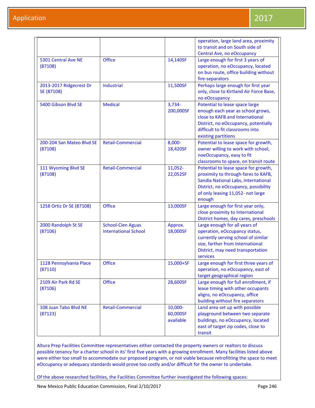|                                       |                                                         |                                  | operation, large land area, proximity<br>to transit and on South side of<br>Central Ave, no eOccupancy                                                                                                    |
|---------------------------------------|---------------------------------------------------------|----------------------------------|-----------------------------------------------------------------------------------------------------------------------------------------------------------------------------------------------------------|
| 5301 Central Ave NE<br>(87108)        | <b>Office</b>                                           | 14,140SF                         | Large enough for first 3 years of<br>operation, no eOccupancy, located<br>on bus route, office building without<br>fire-separators                                                                        |
| 2013-2017 Ridgecrest Dr<br>SE (87108) | Industrial                                              | 11,500SF                         | Perhaps large enough for first year<br>only, close to Kirtland Air Force Base,<br>no eOccupancy                                                                                                           |
| 5400 Gibson Blvd SE                   | <b>Medical</b>                                          | $3,734-$<br>200,000SF            | Potential to lease space large<br>enough each year as school grows,<br>close to KAFB and International<br>District, no eOccupancy, potentially<br>difficult to fit classrooms into<br>existing partitions |
| 200-204 San Mateo Blvd SE<br>(87108)  | <b>Retail-Commercial</b>                                | 8,000-<br>18,420SF               | Potential to lease space for growth,<br>owner willing to work with school,<br>noeOccupancy, easy to fit<br>classrooms to space, on transit route                                                          |
| 111 Wyoming Blvd SE<br>(87108)        | <b>Retail-Commercial</b>                                | 11,052-<br>22,052SF              | Potential to lease space for growth,<br>proximity to through-fares to KAFB,<br>Sandia National Labs, International<br>District, no eOccupancy, possibility<br>of only leasing 11,052- not large<br>enough |
| 1258 Ortiz Dr SE (87108)              | <b>Office</b>                                           | 13,000SF                         | Large enough for first year only,<br>close proximity to International<br>District homes, day cares, preschools                                                                                            |
| 2000 Randolph St SE<br>(87106)        | <b>School-Cien Aguas</b><br><b>International School</b> | Approx.<br>18,000SF              | Large enough for all years of<br>operation, eOccupancy status,<br>currently serving school of similar<br>size, farther from International<br>District, may need transportation<br>services                |
| 1128 Pennsylvania Place<br>(87110)    | <b>Office</b>                                           | 15,000+SF                        | Large enough for first three years of<br>operation, no eOccupancy, east of<br>target geographical region                                                                                                  |
| 2109 Air Park Rd SE<br>(87106)        | <b>Office</b>                                           | 28,600SF                         | Large enough for full enrollment, if<br>lease timing with other occupants<br>aligns, no eOccupancy, office<br>building without fire separators                                                            |
| 108 Juan Tabo Blvd NE<br>(87123)      | <b>Retail-Commercial</b>                                | 10,000-<br>60,000SF<br>available | Land area set up with possible<br>playground between two separate<br>buildings, no eOccupancy, located<br>east of target zip codes, close to<br>transit                                                   |

Altura Prep Facilities Committee representatives either contacted the property owners or realtors to discuss possible tenancy for a charter school in its' first five years with a growing enrollment. Many facilities listed above were either too small to accommodate our proposed program, or not viable because retrofitting the space to meet eOccupancy or adequacy standards would prove too costly and/or difficult for the owner to undertake.

Of the above researched facilities, the Facilities Committee further investigated the following spaces: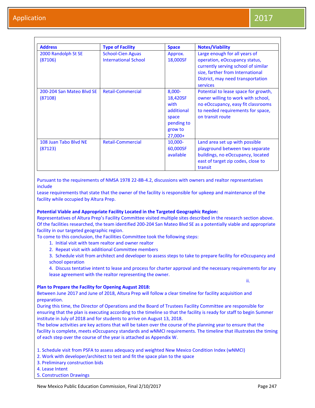| <b>Address</b>                       | <b>Type of Facility</b>                                 | <b>Space</b>                                                                               | <b>Notes/Viability</b>                                                                                                                                                                     |
|--------------------------------------|---------------------------------------------------------|--------------------------------------------------------------------------------------------|--------------------------------------------------------------------------------------------------------------------------------------------------------------------------------------------|
| 2000 Randolph St SE<br>(87106)       | <b>School-Cien Aguas</b><br><b>International School</b> | Approx.<br>18,000SF                                                                        | Large enough for all years of<br>operation, eOccupancy status,<br>currently serving school of similar<br>size, farther from International<br>District, may need transportation<br>services |
| 200-204 San Mateo Blyd SE<br>(87108) | <b>Retail-Commercial</b>                                | $8,000 -$<br>18,420SF<br>with<br>additional<br>space<br>pending to<br>grow to<br>$27,000+$ | Potential to lease space for growth,<br>owner willing to work with school,<br>no eOccupancy, easy fit classrooms<br>to needed requirements for space,<br>on transit route                  |
| 108 Juan Tabo Blyd NE<br>(87123)     | <b>Retail-Commercial</b>                                | $10,000 -$<br>60,000SF<br>available                                                        | Land area set up with possible<br>playground between two separate<br>buildings, no eOccupancy, located<br>east of target zip codes, close to<br>transit                                    |

Pursuant to the requirements of NMSA 1978 22-8B-4.2, discussions with owners and realtor representatives include

Lease requirements that state that the owner of the facility is responsible for upkeep and maintenance of the facility while occupied by Altura Prep.

#### **Potential Viable and Appropriate Facility Located in the Targeted Geographic Region:**

Representatives of Altura Prep's Facility Committee visited multiple sites described in the research section above. Of the facilities researched, the team identified 200-204 San Mateo Blvd SE as a potentially viable and appropriate facility in our targeted geographic region.

To come to this conclusion, the Facilities Committee took the following steps:

- 1. Initial visit with team realtor and owner realtor
- 2. Repeat visit with additional Committee members

3. Schedule visit from architect and developer to assess steps to take to prepare facility for eOccupancy and school operation

4. Discuss tentative intent to lease and process for charter approval and the necessary requirements for any lease agreement with the realtor representing the owner.

#### **Plan to Prepare the Facility for Opening August 2018:**

Between June 2017 and June of 2018, Altura Prep will follow a clear timeline for facility acquisition and

preparation. During this time, the Director of Operations and the Board of Trustees Facility Committee are responsible for ensuring that the plan is executing according to the timeline so that the facility is ready for staff to begin Summer institute in July of 2018 and for students to arrive on August 13, 2018.

The below activities are key actions that will be taken over the course of the planning year to ensure that the facility is complete, meets eOccupancy standards and wNMCI requirements. The timeline that illustrates the timing of each step over the course of the year is attached as Appendix W.

1. Schedule visit from PSFA to assess adequacy and weighted New Mexico Condition Index (wNMCI)

2. Work with developer/architect to test and fit the space plan to the space

3. Preliminary construction bids

4. Lease Intent

5. Construction Drawings

ii.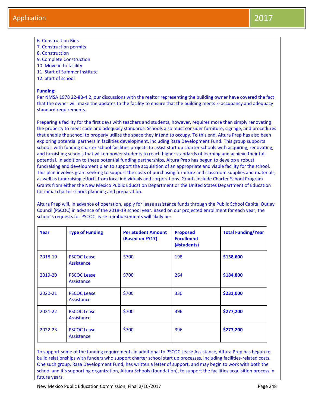- 6. Construction Bids
- 7. Construction permits
- 8. Construction
- 9. Complete Construction
- 10. Move in to facility
- 11. Start of Summer Institute
- 12. Start of school

## **Funding:**

Per NMSA 1978 22-8B-4.2, our discussions with the realtor representing the building owner have covered the fact that the owner will make the updates to the facility to ensure that the building meets E-occupancy and adequacy standard requirements.

Preparing a facility for the first days with teachers and students, however, requires more than simply renovating the property to meet code and adequacy standards. Schools also must consider furniture, signage, and procedures that enable the school to properly utilize the space they intend to occupy. To this end, Altura Prep has also been exploring potential partners in facilities development, including Raza Development Fund. This group supports schools with funding charter school facilities projects to assist start up charter schools with acquiring, renovating, and furnishing schools that will empower students to reach higher standards of learning and achieve their full potential. In addition to these potential funding partnerships, Altura Prep has begun to develop a robust fundraising and development plan to support the acquisition of an appropriate and viable facility for the school. This plan involves grant seeking to support the costs of purchasing furniture and classroom supplies and materials, as well as fundraising efforts from local individuals and corporations. Grants include Charter School Program Grants from either the New Mexico Public Education Department or the United States Department of Education for initial charter school planning and preparation.

Altura Prep will, in advance of operation, apply for lease assistance funds through the Public School Capital Outlay Council (PSCOC) in advance of the 2018-19 school year. Based on our projected enrollment for each year, the school's requests for PSCOC lease reimbursements will likely be:

| Year    | <b>Type of Funding</b>                  | <b>Per Student Amount</b><br>(Based on FY17) | <b>Proposed</b><br><b>Enrollment</b><br>(#students) | <b>Total Funding/Year</b> |
|---------|-----------------------------------------|----------------------------------------------|-----------------------------------------------------|---------------------------|
| 2018-19 | <b>PSCOC Lease</b><br>Assistance        | \$700                                        | 198                                                 | \$138,600                 |
| 2019-20 | <b>PSCOC Lease</b><br>Assistance        | \$700                                        | 264                                                 | \$184,800                 |
| 2020-21 | <b>PSCOC Lease</b><br>Assistance        | \$700                                        | 330                                                 | \$231,000                 |
| 2021-22 | <b>PSCOC Lease</b><br>Assistance        | \$700                                        | 396                                                 | \$277,200                 |
| 2022-23 | <b>PSCOC Lease</b><br><b>Assistance</b> | \$700                                        | 396                                                 | \$277,200                 |

To support some of the funding requirements in additional to PSCOC Lease Assistance, Altura Prep has begun to build relationships with funders who support charter school start up processes, including facilities-related costs. One such group, Raza Development Fund, has written a letter of support, and may begin to work with both the school and it's supporting organization, Altura Schools (foundation), to support the facilities acquisition process in future years.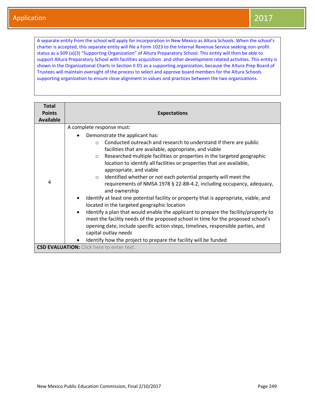A separate entity from the school will apply for incorporation in New Mexico as Altura Schools. When the school's charter is accepted, this separate entity will file a Form 1023 to the Internal Revenue Service seeking non-profit status as a 509 (a)(3) "Supporting Organization" of Altura Preparatory School. This entity will then be able to support Altura Preparatory School with facilities acquisition and other development related activities. This entity is shown in the Organizational Charts in Section II D1 as a supporting organization, because the Altura Prep Board of Trustees will maintain oversight of the process to select and approve board members for the Altura Schools supporting organization to ensure close alignment in values and practices between the two organizations.

| <b>Total</b>     |                                                                                                                                                                                                                                                                                                                                                                                                                                                                                                                                                                                                                                                                                                                                                                                                                                                                                                                                                                                                                                                             |  |  |
|------------------|-------------------------------------------------------------------------------------------------------------------------------------------------------------------------------------------------------------------------------------------------------------------------------------------------------------------------------------------------------------------------------------------------------------------------------------------------------------------------------------------------------------------------------------------------------------------------------------------------------------------------------------------------------------------------------------------------------------------------------------------------------------------------------------------------------------------------------------------------------------------------------------------------------------------------------------------------------------------------------------------------------------------------------------------------------------|--|--|
| <b>Points</b>    | <b>Expectations</b>                                                                                                                                                                                                                                                                                                                                                                                                                                                                                                                                                                                                                                                                                                                                                                                                                                                                                                                                                                                                                                         |  |  |
| <b>Available</b> |                                                                                                                                                                                                                                                                                                                                                                                                                                                                                                                                                                                                                                                                                                                                                                                                                                                                                                                                                                                                                                                             |  |  |
|                  | A complete response must:                                                                                                                                                                                                                                                                                                                                                                                                                                                                                                                                                                                                                                                                                                                                                                                                                                                                                                                                                                                                                                   |  |  |
| 4                | Demonstrate the applicant has:<br>Conducted outreach and research to understand if there are public<br>$\bigcap$<br>facilities that are available, appropriate, and viable<br>Researched multiple facilities or properties in the targeted geographic<br>$\circ$<br>location to identify all facilities or properties that are available,<br>appropriate, and viable<br>Identified whether or not each potential property will meet the<br>$\circ$<br>requirements of NMSA 1978 § 22-8B-4.2, including occupancy, adequacy,<br>and ownership<br>Identify at least one potential facility or property that is appropriate, viable, and<br>located in the targeted geographic location<br>Identify a plan that would enable the applicant to prepare the facility/property to<br>$\bullet$<br>meet the facility needs of the proposed school in time for the proposed school's<br>opening date, include specific action steps, timelines, responsible parties, and<br>capital outlay needs<br>Identify how the project to prepare the facility will be funded |  |  |
|                  | <b>CSD EVALUATION:</b> Click here to enter text.                                                                                                                                                                                                                                                                                                                                                                                                                                                                                                                                                                                                                                                                                                                                                                                                                                                                                                                                                                                                            |  |  |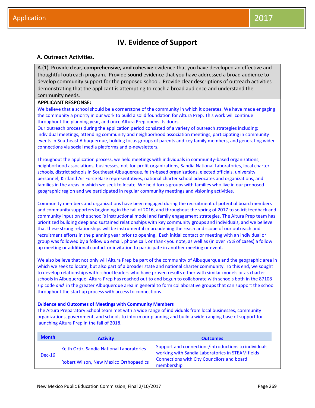## **IV. Evidence of Support**

## **A. Outreach Activities.**

A.(1) Provide **clear, comprehensive, and cohesive** evidence that you have developed an effective and thoughtful outreach program. Provide **sound** evidence that you have addressed a broad audience to develop community support for the proposed school. Provide clear descriptions of outreach activities demonstrating that the applicant is attempting to reach a broad audience and understand the community needs.

## **APPLICANT RESPONSE:**

We believe that a school should be a cornerstone of the community in which it operates. We have made engaging the community a priority in our work to build a solid foundation for Altura Prep. This work will continue throughout the planning year, and once Altura Prep opens its doors.

Our outreach process during the application period consisted of a variety of outreach strategies including: individual meetings, attending community and neighborhood association meetings, participating in community events in Southeast Albuquerque, holding focus groups of parents and key family members, and generating wider connections via social media platforms and e-newsletters.

Throughout the application process, we held meetings with individuals in community-based organizations, neighborhood associations, businesses, not-for-profit organizations, Sandia National Laboratories, local charter schools, district schools in Southeast Albuquerque, faith-based organizations, elected officials, university personnel, Kirtland Air Force Base representatives, national charter school advocates and organizations, and families in the areas in which we seek to locate. We held focus groups with families who live in our proposed geographic region and we participated in regular community meetings and visioning activities.

Community members and organizations have been engaged during the recruitment of potential board members and community supporters beginning in the fall of 2016, and throughout the spring of 2017 to solicit feedback and community input on the school's instructional model and family engagement strategies. The Altura Prep team has prioritized building deep and sustained relationships with key community groups and individuals, and we believe that these strong relationships will be instrumental in broadening the reach and scope of our outreach and recruitment efforts in the planning year prior to opening. Each initial contact or meeting with an individual or group was followed by a follow up email, phone call, or thank you note, as well as (in over 75% of cases) a follow up meeting or additional contact or invitation to participate in another meeting or event.

We also believe that not only will Altura Prep be part of the community of Albuquerque and the geographic area in which we seek to locate, but also part of a broader state and national charter community. To this end, we sought to develop relationships with school leaders who have proven results either with similar models or as charter schools in Albuquerque. Altura Prep has reached out to and begun to collaborate with schools both in the 87108 zip code *and* in the greater Albuquerque area in general to form collaborative groups that can support the school throughout the start up process with access to connections.

#### **Evidence and Outcomes of Meetings with Community Members**

The Altura Preparatory School team met with a wide range of individuals from local businesses, community organizations, government, and schools to inform our planning and build a wide-ranging base of support for launching Altura Prep in the fall of 2018.

| <b>Month</b> | <b>Activity</b>                           | <b>Outcomes</b>                                                                                          |  |
|--------------|-------------------------------------------|----------------------------------------------------------------------------------------------------------|--|
| $Dec-16$     | Keith Ortiz, Sandia National Laboratories | Support and connections/introductions to individuals<br>working with Sandia Laboratories in STEAM fields |  |
|              | Robert Wilson, New Mexico Orthopaedics    | Connections with City Councilors and board<br>membership                                                 |  |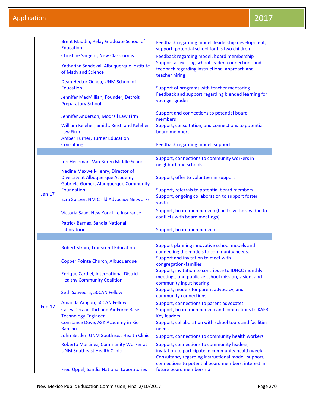|          | Brent Maddin, Relay Graduate School of<br><b>Education</b>                           | Feedback regarding model, leadership development,<br>support, potential school for his two children<br>Feedback regarding model, board membership |  |  |
|----------|--------------------------------------------------------------------------------------|---------------------------------------------------------------------------------------------------------------------------------------------------|--|--|
|          | <b>Christine Sargent, New Classrooms</b>                                             |                                                                                                                                                   |  |  |
|          | Katharina Sandoval, Albuquerque Institute<br>of Math and Science                     | Support as existing school leader, connections and<br>feedback regarding instructional approach and<br>teacher hiring                             |  |  |
|          | Dean Hector Ochoa, UNM School of<br><b>Education</b>                                 | Support of programs with teacher mentoring                                                                                                        |  |  |
|          | Jennifer MacMillian, Founder, Detroit<br><b>Preparatory School</b>                   | Feedback and support regarding blended learning for<br>younger grades                                                                             |  |  |
|          | Jennifer Anderson, Modrall Law Firm                                                  | Support and connections to potential board<br>members                                                                                             |  |  |
|          | William Keleher, Smidt, Reist, and Keleher<br><b>Law Firm</b>                        | Support, consultation, and connections to potential<br>board members                                                                              |  |  |
|          | <b>Amber Turner, Turner Education</b><br><b>Consulting</b>                           | Feedback regarding model, support                                                                                                                 |  |  |
|          |                                                                                      |                                                                                                                                                   |  |  |
|          | Jeri Heileman, Van Buren Middle School                                               | Support, connections to community workers in<br>neighborhood schools                                                                              |  |  |
|          | Nadine Maxwell-Henry, Director of                                                    |                                                                                                                                                   |  |  |
|          | <b>Diversity at Albuquerque Academy</b>                                              | Support, offer to volunteer in support                                                                                                            |  |  |
|          | Gabriela Gomez, Albuquerque Community                                                |                                                                                                                                                   |  |  |
| Jan-17   | <b>Foundation</b>                                                                    | Support, referrals to potential board members<br>Support, ongoing collaboration to support foster                                                 |  |  |
|          | Ezra Spitzer, NM Child Advocacy Networks                                             | youth                                                                                                                                             |  |  |
|          | Victoria Saad, New York Life Insurance                                               | Support, board membership (had to withdraw due to<br>conflicts with board meetings)                                                               |  |  |
|          | Patrick Barnes, Sandia National<br>Laboratories                                      | Support, board membership                                                                                                                         |  |  |
|          |                                                                                      |                                                                                                                                                   |  |  |
|          | <b>Robert Strain, Transcend Education</b>                                            | Support planning innovative school models and<br>connecting the models to community needs.                                                        |  |  |
|          | Copper Pointe Church, Albuquerque                                                    | Support and invitation to meet with<br>congregation/families                                                                                      |  |  |
|          | <b>Enrique Cardiel, International District</b><br><b>Healthy Community Coalition</b> | Support, invitation to contribute to IDHCC monthly<br>meetings, and publicize school mission, vision, and<br>community input hearing              |  |  |
|          | Seth Saavedra, 50CAN Fellow                                                          | Support, models for parent advocacy, and<br>community connections                                                                                 |  |  |
|          | Amanda Aragon, 50CAN Fellow                                                          | Support, connections to parent advocates                                                                                                          |  |  |
| $Feb-17$ | Casey Deraad, Kirtland Air Force Base                                                | Support, board membership and connections to KAFB                                                                                                 |  |  |
|          | <b>Technology Engineer</b>                                                           | <b>Key leaders</b>                                                                                                                                |  |  |
|          | Constance Dove, ASK Academy in Rio<br>Rancho                                         | Support, collaboration with school tours and facilities<br>needs                                                                                  |  |  |
|          | John Bettler, UNM Southeast Health Clinic                                            | Support, connections to community health workers                                                                                                  |  |  |
|          | Roberto Martinez, Community Worker at                                                | Support, connections to community leaders,                                                                                                        |  |  |
|          | <b>UNM Southeast Health Clinic</b>                                                   | invitation to participate in community health week<br>Consultancy regarding instructional model, support,                                         |  |  |
|          |                                                                                      | connections to potential board members, interest in                                                                                               |  |  |
|          | <b>Fred Oppel, Sandia National Laboratories</b>                                      | future board membership                                                                                                                           |  |  |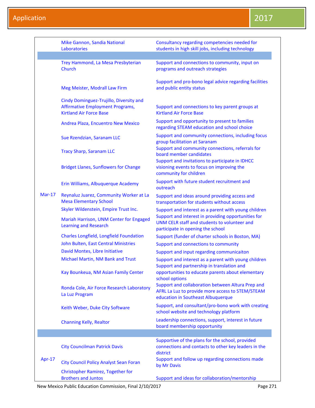|               | Mike Gannon, Sandia National<br>Laboratories                                                                         | Consultancy regarding competencies needed for<br>students in high skill jobs, including technology                                          |
|---------------|----------------------------------------------------------------------------------------------------------------------|---------------------------------------------------------------------------------------------------------------------------------------------|
|               |                                                                                                                      |                                                                                                                                             |
|               | Trey Hammond, La Mesa Presbyterian<br>Church                                                                         | Support and connections to community, input on<br>programs and outreach strategies                                                          |
|               | Meg Meister, Modrall Law Firm                                                                                        | Support and pro-bono legal advice regarding facilities<br>and public entity status                                                          |
|               | Cindy Dominguez-Trujillo, Diversity and<br><b>Affirmative Employment Programs,</b><br><b>Kirtland Air Force Base</b> | Support and connections to key parent groups at<br><b>Kirtland Air Force Base</b>                                                           |
|               | Andrea Plaza, Encuentro New Mexico                                                                                   | Support and opportunity to present to families<br>regarding STEAM education and school choice                                               |
|               | Sue Rzendzian, Saranam LLC                                                                                           | Support and community connections, including focus<br>group facilitation at Saranam                                                         |
|               | <b>Tracy Sharp, Saranam LLC</b>                                                                                      | Support and community connections, referrals for<br>board member candidates                                                                 |
|               | <b>Bridget Llanes, Sunflowers for Change</b>                                                                         | Support and invitations to participate in IDHCC<br>visioning events to focus on improving the<br>community for children                     |
|               | Erin Williams, Albuquerque Academy                                                                                   | Support with future student recruitment and<br>outreach                                                                                     |
| <b>Mar-17</b> | Reynaluz Juarez, Community Worker at La<br><b>Mesa Elementary School</b>                                             | Support and ideas around providing access and<br>transportation for students without access                                                 |
|               | Skyler Wildenstein, Empire Trust Inc.                                                                                | Support and interest as a parent with young children                                                                                        |
|               | Mariah Harrison, UNM Center for Engaged<br><b>Learning and Research</b>                                              | Support and interest in providing opportunities for<br>UNM CELR staff and students to volunteer and<br>participate in opening the school    |
|               | Charles Longfield, Longfield Foundation                                                                              | Support (funder of charter schools in Boston, MA)                                                                                           |
|               | John Bulten, East Central Ministries                                                                                 | Support and connections to community                                                                                                        |
|               | David Montes, Libre Initiative                                                                                       | Support and input regarding communicaiton                                                                                                   |
|               | Michael Martin, NM Bank and Trust                                                                                    | Support and interest as a parent with young children<br>Support and partnership in translation and                                          |
|               | Kay Bounkeua, NM Asian Family Center                                                                                 | opportunities to educate parents about elementary<br>school options                                                                         |
|               | Ronda Cole, Air Force Research Laboratory<br>La Luz Program                                                          | Support and collaboration between Altura Prep and<br>AFRL La Luz to provide more access to STEM/STEAM<br>education in Southeast Albuquerque |
|               | Keith Weber, Duke City Software                                                                                      | Support, and consultant/pro-bono work with creating<br>school website and technology platform                                               |
|               | <b>Channing Kelly, Realtor</b>                                                                                       | Leadership connections, support, interest in future<br>board membership opportunity                                                         |
|               |                                                                                                                      |                                                                                                                                             |
|               | <b>City Councilman Patrick Davis</b>                                                                                 | Supportive of the plans for the school, provided<br>connections and contacts to other key leaders in the<br>district                        |
| Apr-17        | <b>City Council Policy Analyst Sean Foran</b>                                                                        | Support and follow up regarding connections made<br>by Mr Davis                                                                             |
|               | Christopher Ramirez, Together for<br><b>Brothers and Juntos</b>                                                      | Support and ideas for collaboration/mentorship                                                                                              |

New Mexico Public Education Commission, Final 2/10/2017 **Page 271** Page 271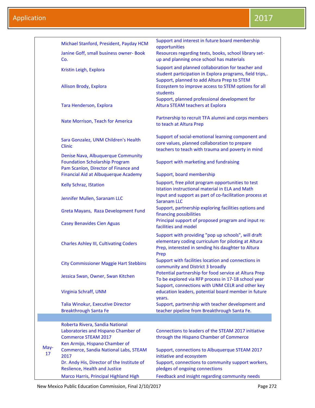|            | Michael Stanford, President, Payday HCM                                         | Support and interest in future board membership<br>opportunities                                                                                                         |
|------------|---------------------------------------------------------------------------------|--------------------------------------------------------------------------------------------------------------------------------------------------------------------------|
|            | Janine Goff, small business owner- Book                                         | Resources regarding texts, books, school library set-                                                                                                                    |
|            | Co.                                                                             | up and planning once school has materials                                                                                                                                |
|            | Kristin Leigh, Explora                                                          | Support and planned collaboration for teacher and<br>student participation in Explora programs, field trips,.                                                            |
|            | <b>Allison Brody, Explora</b>                                                   | Support, planned to add Altura Prep to STEM<br>Ecosystem to improve access to STEM options for all<br>students                                                           |
|            |                                                                                 | Support, planned professional development for                                                                                                                            |
|            | <b>Tara Henderson, Explora</b>                                                  | Altura STEAM teachers at Explora                                                                                                                                         |
|            | Nate Morrison, Teach for America                                                | Partnership to recruit TFA alumni and corps members<br>to teach at Altura Prep                                                                                           |
|            | Sara Gonzalez, UNM Children's Health<br><b>Clinic</b>                           | Support of social-emotional learning component and<br>core values, planned collaboration to prepare<br>teachers to teach with trauma and poverty in mind                 |
|            | Denise Nava, Albuquerque Community                                              |                                                                                                                                                                          |
|            | <b>Foundation Scholarship Program</b><br>Pam Scanlon, Director of Finance and   | Support with marketing and fundraising                                                                                                                                   |
|            | Financial Aid at Albuquerque Academy                                            | Support, board membership                                                                                                                                                |
|            | Kelly Schraz, IStation                                                          | Support, free pilot program opportunities to test<br>Istation instructional material in ELA and Math                                                                     |
|            | Jennifer Mullen, Saranam LLC                                                    | Input and support as part of co-facilitation process at<br><b>Saranam LLC</b>                                                                                            |
|            | Greta Mayans, Raza Development Fund                                             | Support, partnership exploring facilities options and<br>financing possibilities                                                                                         |
|            | <b>Casey Benavides Cien Aguas</b>                                               | Principal support of proposed program and input re:<br>facilities and model                                                                                              |
|            | <b>Charles Ashley III, Cultivating Coders</b>                                   | Support with providing "pop up schools", will draft<br>elementary coding curriculum for piloting at Altura<br>Prep, interested in sending his daughter to Altura<br>Prep |
|            | <b>City Commissioner Maggie Hart Stebbins</b>                                   | Support with facilities location and connections in<br>community and District 3 broadly                                                                                  |
|            | Jessica Swan, Owner, Swan Kitchen                                               | Potential partnership for food service at Altura Prep<br>To be explored via RFP process in 17-18 school year                                                             |
|            | Virginia Schraff, UNM                                                           | Support, connections with UNM CELR and other key<br>education leaders, potential board member in future<br>years.                                                        |
|            | Talia Winokur, Executive Director<br><b>Breakthrough Santa Fe</b>               | Support, partnership with teacher development and<br>teacher pipeline from Breakthrough Santa Fe.                                                                        |
|            |                                                                                 |                                                                                                                                                                          |
|            | Roberta Rivera, Sandia National                                                 |                                                                                                                                                                          |
|            | Laboratories and Hispano Chamber of<br><b>Commerce STEAM 2017</b>               | Connections to leaders of the STEAM 2017 initiative<br>through the Hispano Chamber of Commerce                                                                           |
| May-<br>17 | Ken Armijo, Hispano Chamber of<br>Commerce, Sandia National Labs, STEAM<br>2017 | Support, connections to Albuquerque STEAM 2017<br>initiative and ecosystem                                                                                               |
|            | Dr. Andy His, Director of the Institute of<br>Reslience, Health and Justice     | Support, connections to community support workers,<br>pledges of ongoing connections                                                                                     |
|            | Marco Harris, Principal Highland High                                           | Feedback and insight regarding community needs                                                                                                                           |

New Mexico Public Education Commission, Final 2/10/2017 **Page 272** Page 272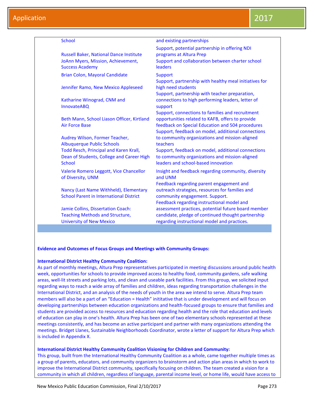| <b>School</b>                                                                                                                      | and existing partnerships                                                                                                                                                                                      |
|------------------------------------------------------------------------------------------------------------------------------------|----------------------------------------------------------------------------------------------------------------------------------------------------------------------------------------------------------------|
| <b>Russell Baker, National Dance Institute</b><br>JoAnn Myers, Mission, Achievement,<br><b>Success Academy</b>                     | Support, potential partnership in offering NDI<br>programs at Altura Prep<br>Support and collaboration between charter school<br>leaders                                                                       |
| Brian Colon, Mayoral Candidate                                                                                                     | <b>Support</b>                                                                                                                                                                                                 |
| Jennifer Ramo, New Mexico Appleseed                                                                                                | Support, partnership with healthy meal initiatives for<br>high need students<br>Support, partnership with teacher preparation,                                                                                 |
| Katharine Winograd, CNM and<br><b>InnovateABQ</b>                                                                                  | connections to high performing leaders, letter of<br>support                                                                                                                                                   |
| Beth Mann, School Liason Officer, Kirtland<br><b>Air Force Base</b>                                                                | Support, connections to families and recruitment<br>opportunities related to KAFB, offers to provide<br>feedback on Special Education and 504 procedures<br>Support, feedback on model, additional connections |
| Audrey Wilson, Former Teacher,                                                                                                     | to community organizations and mission-aligned                                                                                                                                                                 |
| <b>Albuquerque Public Schools</b><br>Todd Resch, Principal and Karen Krall,<br>Dean of Students, College and Career High<br>School | teachers<br>Support, feedback on model, additional connections<br>to community organizations and mission-aligned<br>leaders and school-based innovation                                                        |
| Valerie Romero Leggott, Vice Chancellor<br>of Diversity, UNM                                                                       | Insight and feedback regarding community, diversity<br>and UNM                                                                                                                                                 |
| Nancy (Last Name Withheld), Elementary<br><b>School Parent in International District</b>                                           | Feedback regarding parent engagement and<br>outreach strategies, resources for families and<br>community engagement. Support.<br>Feedback regarding instructional model and                                    |
| Jamie Collins, Dissertation Coach:<br><b>Teaching Methods and Structure,</b><br><b>University of New Mexico</b>                    | assessment practices, potential future board member<br>candidate, pledge of continued thought partnership<br>regarding instructional model and practices.                                                      |

## **Evidence and Outcomes of Focus Groups and Meetings with Community Groups:**

## **International District Healthy Community Coalition:**

As part of monthly meetings, Altura Prep representatives participated in meeting discussions around public health week, opportunities for schools to provide improved access to healthy food, community gardens, safe walking areas, well-lit streets and parking lots, and clean and useable park facilities. From this group, we solicited input regarding ways to reach a wide array of families and children, ideas regarding transportation challenges in the International District, and an analysis of the needs of youth in the area we intend to serve. Altura Prep team members will also be a part of an "Education = Health" inititative that is under development and will focus on developing partnerships between education organizations and health-focused groups to ensure that families and students are provided access to resources and education regarding health and the role that education and levels of education can play in one's health. Altura Prep has been one of two elementary schools represented at these meetings consistently, and has become an active participant and partner with many organizations attending the meetings. Bridget Llanes, Sustainable Neighborhoods Coordinator, wrote a letter of support for Altura Prep which is included in Appendix X.

## **International District Healthy Community Coalition Visioning for Children and Community:**

This group, built from the International Healthy Community Coalition as a whole, came together multiple times as a group of parents, educators, and community organizers to brainstorm and action plan areas in which to work to improve the International District community, specifically focusing on children. The team created a vision for a community in which all children, regardless of language, parental income level, or home life, would have access to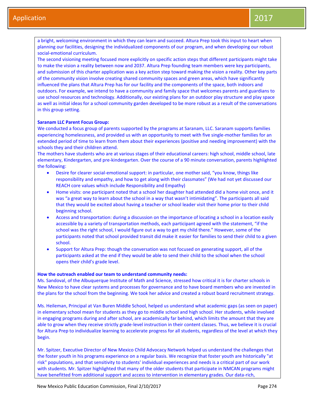a bright, welcoming environment in which they can learn and succeed. Altura Prep took this input to heart when planning our facilities, designing the individualized components of our program, and when developing our robust social-emotional curriculum.

The second visioning meeting focused more explicitly on specific action steps that different participants might take to make the vision a reality between now and 2037. Altura Prep founding team members were key participants, and submission of this charter application was a key action step toward making the vision a reality. Other key parts of the community vision involve creating shared community spaces and green areas, which have significantly influenced the plans that Altura Prep has for our facility and the components of the space, both indoors and outdoors. For example, we intend to have a community and family space that welcomes parents and guardians to use school resources and technology. Additionally, our existing plans for an outdoor play structure and play space as well as initial ideas for a school community garden developed to be more robust as a result of the conversations in this group setting.

#### **Saranam LLC Parent Focus Group:**

We conducted a focus group of parents supported by the programs at Saranam, LLC. Saranam supports families experiencing homelessness, and provided us with an opportunity to meet with five single-mother families for an extended period of time to learn from them about their experiences (positive and needing improvement) with the schools they and their children attend.

The mothers have students who are at various stages of their educational careers: high school, middle school, late elementary, Kindergarten, and pre-kindergarten. Over the course of a 90 minute conversation, parents highlighted the following:

- Desire for clearer social-emotional support: in particular, one mother said, "you know, things like responsibility and empathy, and how to get along with their classmates" (We had not yet discussed our REACH core values which include Responsibility and Empathy)
- Home visits: one participant noted that a school her daughter had attended did a home visit once, and it was "a great way to learn about the school in a way that wasn't intimidating". The participants all said that they would be excited about having a teacher or school leader visit their home prior to their child beginning school.
- Access and transportation: during a discussion on the importance of locating a school in a location easily accessible by a variety of transportation methods, each participant agreed with the statement, "if the school was the right school, I would figure out a way to get my child there." However, some of the participants noted that school provided transit did make it easier for families to send their child to a given school.
- Support for Altura Prep: though the conversation was not focused on generating support, all of the participants asked at the end if they would be able to send their child to the school when the school opens their child's grade level.

#### **How the outreach enabled our team to understand community needs:**

Ms. Sandoval, of the Albuquerque Institute of Math and Science, stressed how critical it is for charter schools in New Mexico to have clear systems and processes for governance and to have board members who are invested in the plans for the school from the beginning. We took her advice and created a robust board recruitment strategy.

Ms. Heileman, Principal at Van Buren Middle School, helped us understand what academic gaps (as seen on paper) in elementary school mean for students as they go to middle school and high school. Her students, while involved in engaging programs during and after school, are academically far behind, which limits the amount that they are able to grow when they receive strictly grade-level instruction in their content classes. Thus, we believe it is crucial for Altura Prep to individualize learning to accelerate progress for all students, regardless of the level at which they begin.

Mr. Spitzer, Executive Director of New Mexico Child Advocacy Network helped us understand the challenges that the foster youth in his programs experience on a regular basis. We recognize that foster youth are historically "at risk" populations, and that sensitivity to students' individual experiences and needs is a critical part of our work with students. Mr. Spitzer highlighted that many of the older students that participate in NMCAN programs might have benefitted from additional support and access to intervention in elementary grades. Our data-rich,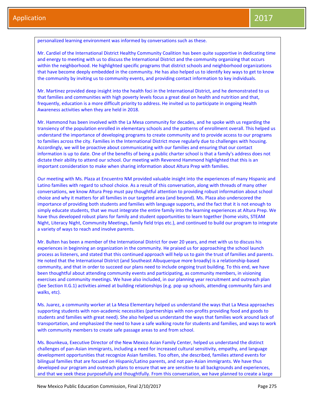personalized learning environment was informed by conversations such as these.

Mr. Cardiel of the International District Healthy Community Coalition has been quite supportive in dedicating time and energy to meeting with us to discuss the International District and the community organizing that occurs within the neighborhood. He highlighted specific programs that district schools and neighborhood organizations that have become deeply embedded in the community. He has also helped us to identify key ways to get to know the community by inviting us to community events, and providing contact information to key individuals.

Mr. Martinez provided deep insight into the health foci in the International District, and he demonstrated to us that families and communities with high poverty levels focus a great deal on health and nutrition and that, frequently, education is a more difficult priority to address. He invited us to participate in ongoing Health Awareness activities when they are held in 2018.

Mr. Hammond has been involved with the La Mesa community for decades, and he spoke with us regarding the transiency of the population enrolled in elementary schools and the patterns of enrollment overall. This helped us understand the importance of developing programs to create community and to provide access to our programs to families across the city. Families in the International District move regularly due to challenges with housing. Accordingly, we will be proactive about communicating with our families and ensuring that our contact information is up to date. One of the benefits of being a public charter school is that a family's address does not dictate their ability to attend our school. Our meeting with Reverend Hammond highlighted that this is an important consideration to make when sharing information about Altura Prep with families.

Our meeting with Ms. Plaza at Encuentro NM provided valuable insight into the experiences of many Hispanic and Latino families with regard to school choice. As a result of this conversation, along with threads of many other conversations, we know Altura Prep must pay thoughtful attention to providing robust information about school choice and why it matters for all families in our targeted area (and beyond). Ms. Plaza also underscored the importance of providing both students and families with language supports, and the fact that it is not enough to simply educate students, that we must integrate the entire family into the learning experiences at Altura Prep. We have thus developed robust plans for family and student opportunities to learn together (home visits, STEAM Night, Literacy Night, Community Meetings, family field trips etc.), and continued to build our program to integrate a variety of ways to reach and involve parents.

Mr. Bulten has been a member of the International District for over 20 years, and met with us to discuss his experiences in beginning an organization in the community. He praised us for approaching the school launch process as listeners, and stated that this continued approach will help us to gain the trust of families and parents. He noted that the International District (and Southeast Albuquerque more broadly) is a relationship-based community, and that in order to succeed our plans need to include ongoing trust building. To this end, we have been thoughtful about attending community events and participating, as community members, in visioning exercises and community meetings. We have also included, in our planning year recruitment and outreach plan (See Section II.G.1) activities aimed at building relationships (e.g. pop up schools, attending community fairs and walks, etc).

Ms. Juarez, a community worker at La Mesa Elementary helped us understand the ways that La Mesa approaches supporting students with non-academic necessities (partnerships with non-profits providing food and goods to students and families with great need). She also helped us understand the ways that families work around lack of transportation, and emphasized the need to have a safe walking route for students and families, and ways to work with community members to create safe passage areas to and from school.

Ms. Bounkeua, Executive Director of the New Mexico Asian Family Center, helped us understand the distinct challenges of pan-Asian immigrants, including a need for increased cultural sensitivity, empathy, and language development opportunities that recognize Asian families. Too often, she described, families attend events for bilingual families that are focused on Hispanic/Latino parents, and not pan-Asian immigrants. We have thus developed our program and outreach plans to ensure that we are sensitive to all backgrounds and experiences, and that we seek these purposefully and thoughtfully. From this conversation, we have planned to create a large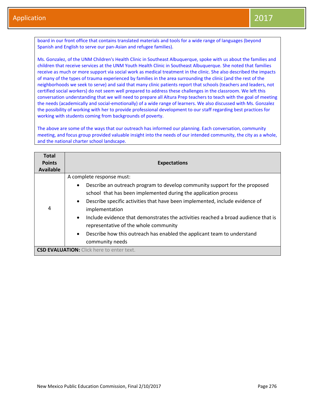board in our front office that contains translated materials and tools for a wide range of languages (beyond Spanish and English to serve our pan-Asian and refugee families).

Ms. Gonzalez, of the UNM Children's Health Clinic in Southeast Albuquerque, spoke with us about the families and children that receive services at the UNM Youth Health Clinic in Southeast Albuquerque. She noted that families receive as much or more support via social work as medical treatment in the clinic. She also described the impacts of many of the types of trauma experienced by families in the area surrounding the clinic (and the rest of the neighborhoods we seek to serve) and said that many clinic patients report that schools (teachers and leaders, not certified social workers) do not seem well prepared to address these challenges in the classroom. We left this conversation understanding that we will need to prepare all Altura Prep teachers to teach with the goal of meeting the needs (academically and social-emotionally) of a wide range of learners. We also discussed with Ms. Gonzalez the possibility of working with her to provide professional development to our staff regarding best practices for working with students coming from backgrounds of poverty.

The above are some of the ways that our outreach has informed our planning. Each conversation, community meeting, and focus group provided valuable insight into the needs of our intended community, the city as a whole, and the national charter school landscape.

| <b>Total</b><br><b>Points</b><br>Available | <b>Expectations</b>                                                                                                                                                                                                                                                                                                                                                                                                                                                                                                                        |
|--------------------------------------------|--------------------------------------------------------------------------------------------------------------------------------------------------------------------------------------------------------------------------------------------------------------------------------------------------------------------------------------------------------------------------------------------------------------------------------------------------------------------------------------------------------------------------------------------|
| 4                                          | A complete response must:<br>Describe an outreach program to develop community support for the proposed<br>$\bullet$<br>school that has been implemented during the application process<br>Describe specific activities that have been implemented, include evidence of<br>$\bullet$<br>implementation<br>Include evidence that demonstrates the activities reached a broad audience that is<br>$\bullet$<br>representative of the whole community<br>Describe how this outreach has enabled the applicant team to understand<br>$\bullet$ |
|                                            | community needs<br><b>CSD EVALUATION:</b> Click here to enter text.                                                                                                                                                                                                                                                                                                                                                                                                                                                                        |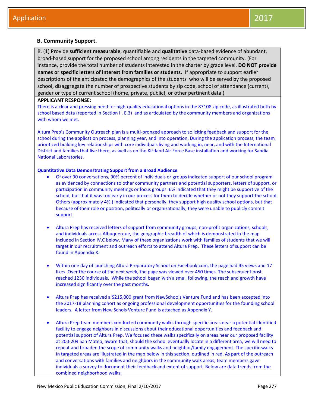## **B. Community Support.**

B. (1) Provide **sufficient measurable**, quantifiable and **qualitative** data-based evidence of abundant, broad-based support for the proposed school among residents in the targeted community. (For instance, provide the total number of students interested in the charter by grade level. **DO NOT provide names or specific letters of interest from families or students.** If appropriate to support earlier descriptions of the anticipated the demographics of the students who will be served by the proposed school, disaggregate the number of prospective students by zip code, school of attendance (current), gender or type of current school (home, private, public), or other pertinent data.)

## **APPLICANT RESPONSE:**

There is a clear and pressing need for high-quality educational options in the 87108 zip code, as illustrated both by school based data (reported in Section I . E.3) and as articulated by the community members and organizations with whom we met.

Altura Prep's Community Outreach plan is a multi-pronged approach to soliciting feedback and support for the school during the application process, planning year, and into operation. During the application process, the team prioritized building key relationships with core individuals living and working in, near, and with the International District and families that live there, as well as on the Kirtland Air Force Base installation and working for Sandia National Laboratories.

## **Quantitative Data Demonstrating Support from a Broad Audience**

- Of over 90 conversations, 90% percent of individuals or groups indicated support of our school program as evidenced by connections to other community partners and potential supporters, letters of support, or participation in community meetings or focus groups. 6% indicated that they might be supportive of the school, but that it was too early in our process for them to decide whether or not they support the school. Others (approximately 4%,) indicated that personally, they support high quality school options, but that because of their role or position, politically or organizationally, they were unable to publicly commit support.
- Altura Prep has received letters of support from community groups, non-profit organizations, schools, and individuals across Albuquerque, the geographic breadth of which is demonstrated in the map included in Section IV.C below. Many of these organizations work with families of students that we will target in our recruitment and outreach efforts to attend Altura Prep. These letters of support can be found in Appendix X.
- Within one day of launching Altura Preparatory School on Facebook.com, the page had 45 views and 17 likes. Over the course of the next week, the page was viewed over 450 times. The subsequent post reached 1230 individuals. While the school began with a small following, the reach and growth have increased significantly over the past months.
- Altura Prep has received a \$215,000 grant from NewSchools Venture Fund and has been accepted into the 2017-18 planning cohort as ongoing professional development opportunities for the founding school leaders. A letter from New Schols Venture Fund is attached as Appendix Y.
- Altura Prep team members conducted community walks through specific areas near a potential identified facility to engage neighbors in discussions about their educational opportunities and feedback and potential support of Altura Prep. We focused these walks specifically on areas near our proposed facility at 200-204 San Mateo, aware that, should the school eventually locate in a different area, we will need to repeat and broaden the scope of community walks and neighbor/family engagement. The specific walks in targeted areas are illustrated in the map below in this section, outlined in red. As part of the outreach and conversations with families and neighbors in the community walk areas, team members gave individuals a survey to document their feedback and extent of support. Below are data trends from the combined neighborhood walks: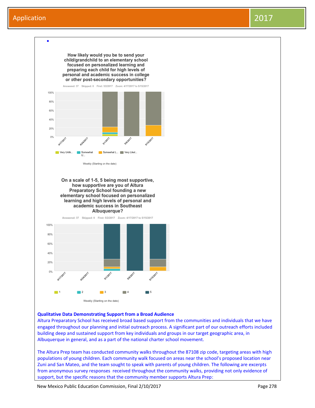

#### **Qualitative Data Demonstrating Support from a Broad Audience**

Altura Preparatory School has received broad based support from the communities and individuals that we have engaged throughout our planning and initial outreach process. A significant part of our outreach efforts included building deep and sustained support from key individuals and groups in our target geographic area, in Albuquerque in general, and as a part of the national charter school movement.

The Altura Prep team has conducted community walks throughout the 87108 zip code, targeting areas with high populations of young children. Each community walk focused on areas near the school's proposed location near Zuni and San Mateo, and the team sought to speak with parents of young children. The following are excerpts from anonymous survey responses received throughout the community walks, providing not only evidence of support, but the specific reasons that the community member supports Altura Prep:

New Mexico Public Education Commission, Final 2/10/2017 Page 278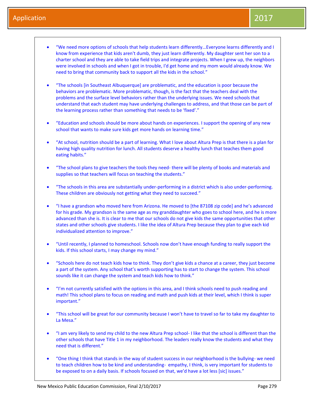- "We need more options of schools that help students learn differently…Everyone learns differently and I know from experience that kids aren't dumb, they just learn differently. My daughter sent her son to a charter school and they are able to take field trips and integrate projects. When I grew up, the neighbors were involved in schools and when I got in trouble, I'd get home and my mom would already know. We need to bring that community back to support all the kids in the school."
- "The schools [in Southeast Albuquerque] are problematic, and the education is poor because the behaviors are problematic. More problematic, though, is the fact that the teachers deal with the problems and the surface level behaviors rather than the underlying issues. We need schools that understand that each student may have underlying challenges to address, and that those can be part of the learning process rather than something that needs to be 'fixed'."
- "Education and schools should be more about hands on experiences. I support the opening of any new school that wants to make sure kids get more hands on learning time."
- "At school, nutrition should be a part of learning. What I love about Altura Prep is that there is a plan for having high quality nutrition for lunch. All students deserve a healthy lunch that teaches them good eating habits."
- "The school plans to give teachers the tools they need- there will be plenty of books and materials and supplies so that teachers will focus on teaching the students."
- "The schools in this area are substantially under-performing in a district which is also under-performing. These children are obviously not getting what they need to succeed."
- "I have a grandson who moved here from Arizona. He moved to [the 87108 zip code] and he's advanced for his grade. My grandson is the same age as my granddaughter who goes to school here, and he is more advanced than she is. It is clear to me that our schools do not give kids the same opportunities that other states and other schools give students. I like the idea of Altura Prep because they plan to give each kid individualized attention to improve."
- "Until recently, I planned to homeschool. Schools now don't have enough funding to really support the kids. If this school starts, I may change my mind."
- "Schools here do not teach kids how to think. They don't give kids a chance at a career, they just become a part of the system. Any school that's worth supporting has to start to change the system. This school sounds like it can change the system and teach kids how to think."
- "I'm not currently satisfied with the options in this area, and I think schools need to push reading and math! This school plans to focus on reading and math and push kids at their level, which I think is super important."
- "This school will be great for our community because I won't have to travel so far to take my daughter to La Mesa."
- "I am very likely to send my child to the new Altura Prep school- I like that the school is different than the other schools that have Title 1 in my neighborhood. The leaders really know the students and what they need that is different."
- "One thing I think that stands in the way of student success in our neighborhood is the bullying- we need to teach children how to be kind and understanding- empathy, I think, is very important for students to be exposed to on a daily basis. If schools focused on that, we'd have a lot less [sic] issues."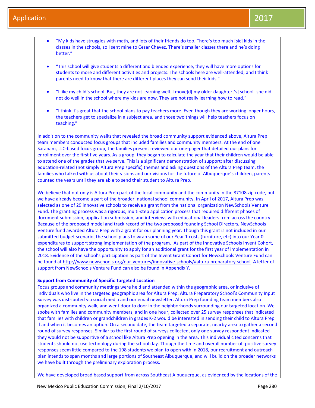- "My kids have struggles with math, and lots of their friends do too. There's too much [sic] kids in the classes in the schools, so I sent mine to Cesar Chavez. There's smaller classes there and he's doing better."
- "This school will give students a different and blended experience, they will have more options for students to more and different activities and projects. The schools here are well-attended, and I think parents need to know that there are different places they can send their kids."
- "I like my child's school. But, they are not learning well. I move[d[ my older daughter['s] school- she did not do well in the school where my kids are now. They are not really learning how to read."
- "I think it's great that the school plans to pay teachers more. Even though they are working longer hours, the teachers get to specialize in a subject area, and those two things will help teachers focus on teaching."

In addition to the community walks that revealed the broad community support evidenced above, Altura Prep team members conducted focus groups that included families and community members. At the end of one Saranam, LLC-based focus group, the families present reviewed our one-pager that detailed our plans for enrollment over the first five years. As a group, they began to calculate the year that their children would be able to attend one of the grades that we serve. This is a significant demonstration of support: after discussing education-related (not simply Altura Prep specific) themes and asking questions of the Altura Prep team, the families who talked with us about their visions and our visions for the future of Albuquerque's children, parents counted the years until they are able to send their student to Altura Prep.

We believe that not only is Altura Prep part of the local community and the community in the 87108 zip code, but we have already become a part of the broader, national school community. In April of 2017, Altura Prep was selected as one of 29 innovative schools to receive a grant from the national organization NewSchools Venture Fund. The granting process was a rigorous, multi-step application process that required different phases of document submission, application submission, and interviews with educational leaders from across the country. Because of the proposed model and track record of the two proposed founding School Directors, NewSchools Venture fund awarded Altura Prep with a grant for our planning year. Though this grant is not included in our submitted budget scenario, the school plans to wrap some of our Year 1 costs (furniture, etc) into our Year 0 expenditures to support strong implementation of the program. As part of the Innovative Schools Invent Cohort, the school will also have the opportunity to apply for an additional grant for the first year of implementation in 2018. Evidence of the school's participation as part of the Invent Grant Cohort for NewSchools Venture Fund can be found at [http://www.newschools.org/our-ventures/innovative-schools/#altura-preparatory-school.](http://www.newschools.org/our-ventures/innovative-schools/#altura-preparatory-school) A letter of support from NewSchools Venture Fund can also be found in Appendix Y.

#### **Support from Community of Specific Targeted Location**

Focus groups and community meetings were held and attended within the geographic area, or inclusive of individuals who live in the targeted geographic area for Altura Prep. Altura Preparatory School's Community Input Survey was distributed via social media and our email newsletter. Altura Prep founding team members also organized a community walk, and went door to door in the neighborhoods surrounding our targeted location. We spoke with families and community members, and in one hour, collected over 25 survey responses that indicated that families with children or grandchildren in grades K-2 would be interested in sending their child to Altura Prep if and when it becomes an option. On a second date, the team targeted a separate, nearby area to gather a second round of survey responses. Similar to the first round of surveys collected, only one survey respondent indicated they would not be supportive of a school like Altura Prep opening in the area. This individual cited concerns that students should not use technology during the school day. Though the time and overall number of positive survey responses seem little compared to the 198 students we plan to open with in 2018, our recruitment and outreach plan intends to span months and large portions of Southeast Albuquerque, and will build on the broader networks we have built through the preliminary exploration process.

We have developed broad based support from across Southeast Albuquerque, as evidenced by the locations of the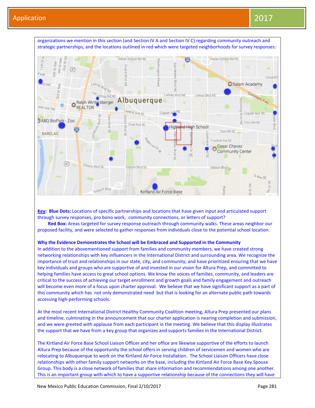

**Key: Blue Dots:** Locations of specific partnerships and locations that have given input and articulated support through survey responses, pro bono work, community connections, or letters of support?

Red Box: Areas targeted for survey response outreach through community walks. These areas neighbor our proposed facility, and were selected to gather responses from individuals close to the potential school location.

#### **Why the Evidence Demonstrates the School will be Embraced and Supported in the Community**

In addition to the abovementioned support from families and community members, we have created strong networking relationships with key influencers in the International District and surrounding area. We recognize the importance of trust and relationships in our state, city, and community, and have prioritized ensuring that we have key individuals and groups who are supportive of and invested in our vision for Altura Prep, and committed to helping families have access to great school options. We know the voices of families, community, and leaders are critical to the success of achieving our target enrollment and growth goals and family engagement and outreach will become even more of a focus upon charter approval. We believe that we have significant support as a part of this community which has not only demonstrated need but that is looking for an alternate public path towards accessing high-performing schools.

At the most recent International District Healthy Community Coalition meeting, Altura Prep presented our plans and timeline, culminating in the announcement that our charter application is nearing completion and submission, and we were greeted with applause from each participant in the meeting. We believe that this display illustrates the support that we have from a key group that organizes and supports families in the International District.

The Kirtland Air Force Base School Liaison Officer and her office are likewise supportive of the efforts to launch Altura Prep because of the opportunity the school offers in serving children of servicemen and women who are relocating to Albuquerque to work on the Kirtland Air Force Installation. The School Liaison Officers have close relationships with other family support networks on the base, including the Kirtland Air Force Base Key Spouse Group. This body is a close network of families that share information and recommendations among one another. This is an important group with which to have a supportive relationship because of the connections they will have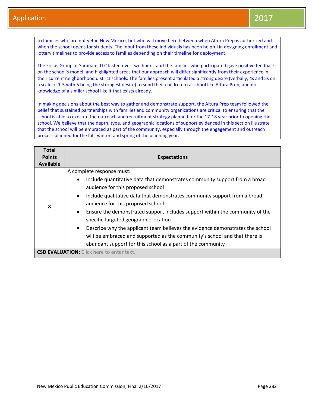to families who are not yet in New Mexico, but who will move here between when Altura Prep is authorized and when the school opens for students. The input from these individuals has been helpful in designing enrollment and lottery timelines to provide access to families depending on their timeline for deployment.

The Focus Group at Saranam, LLC lasted over two hours, and the families who participated gave positive feedback on the school's model, and highlighted areas that our approach will differ significantly from their experience in their current neighborhood district schools. The families present articulated a strong desire (verbally, 4s and 5s on a scale of 1-5 with 5 being the strongest desire) to send their children to a school like Altura Prep, and no knowledge of a similar school like it that exists already.

In making decisions about the best way to gather and demonstrate support, the Altura Prep team followed the belief that sustained partnerships with families and community organizations are critical to ensuring that the school is able to execute the outreach and recruitment strategy planned for the 17-18 year prior to opening the school. We believe that the depth, type, and geographic locations of support evidenced in this section illustrate that the school will be embraced as part of the community, especially through the engagement and outreach process planned for the fall, winter, and spring of the planning year.

| Total<br><b>Points</b><br><b>Available</b> | <b>Expectations</b>                                                                                                                                                                                                                                                                                                                                                                                                                                                                                                                                                                                        |
|--------------------------------------------|------------------------------------------------------------------------------------------------------------------------------------------------------------------------------------------------------------------------------------------------------------------------------------------------------------------------------------------------------------------------------------------------------------------------------------------------------------------------------------------------------------------------------------------------------------------------------------------------------------|
| 8                                          | A complete response must:<br>Include quantitative data that demonstrates community support from a broad<br>$\bullet$<br>audience for this proposed school<br>Include qualitative data that demonstrates community support from a broad<br>$\bullet$<br>audience for this proposed school<br>Ensure the demonstrated support includes support within the community of the<br>$\bullet$<br>specific targeted geographic location<br>Describe why the applicant team believes the evidence demonstrates the school<br>$\bullet$<br>will be embraced and supported as the community's school and that there is |
|                                            | abundant support for this school as a part of the community<br><b>CSD EVALUATION:</b> Click here to enter text.                                                                                                                                                                                                                                                                                                                                                                                                                                                                                            |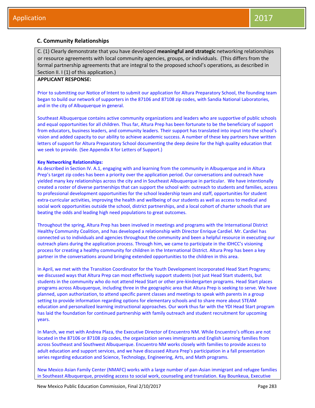## **C. Community Relationships**

C. (1) Clearly demonstrate that you have developed **meaningful and strategic** networking relationships or resource agreements with local community agencies, groups, or individuals. (This differs from the formal partnership agreements that are integral to the proposed school's operations, as described in Section II. I (1) of this application.)

## **APPLICANT RESPONSE:**

Prior to submitting our Notice of Intent to submit our application for Altura Preparatory School, the founding team began to build our network of supporters in the 87106 and 87108 zip codes, with Sandia National Laboratories, and in the city of Albuquerque in general.

Southeast Albuquerque contains active community organizations and leaders who are supportive of public schools and equal opportunities for all children. Thus far, Altura Prep has been fortunate to be the beneficiary of support from educators, business leaders, and community leaders. Their support has translated into input into the school's vision and added capacity to our ability to achieve academic success. A number of these key partners have written letters of support for Altura Preparatory School documenting the deep desire for the high quality education that we seek to provide. (See Appendix X for Letters of Support.)

#### **Key Networking Relationships:**

As described in Section IV. A.1, engaging with and learning from the community in Albuquerque and in Altura Prep's target zip codes has been a priority over the application period. Our conversations and outreach have yielded many key relationships across the city and in Southeast Albuquerque in particular. We have intentionally created a roster of diverse partnerships that can support the school with: outreach to students and families, access to professional development opportunities for the school leadership team and staff, opportunities for student extra-curricular activities, improving the health and wellbeing of our students as well as access to medical and social work opportunities outside the school, district partnerships, and a local cohort of charter schools that are beating the odds and leading high need populations to great outcomes.

Throughout the spring, Altura Prep has been involved in meetings and programs with the International District Healthy Community Coalition, and has developed a relationship with Director Enrique Cardiel. Mr. Cardiel has connected us to individuals and agencies throughout the community and been a helpful resource in executing our outreach plans during the application process. Through him, we came to participate in the IDHCC's visioning process for creating a healthy community for children in the International District. Altura Prep has been a key partner in the conversations around bringing extended opportunities to the children in this area.

In April, we met with the Transition Coordinator for the Youth Development Incorporated Head Start Programs; we discussed ways that Altura Prep can most effectively support students (not just Head Start students, but students in the community who do not attend Head Start or other pre-kindergarten programs. Head Start places programs across Albuquerque, including three in the geographic area that Altura Prep is seeking to serve. We have planned, upon authorization, to attend specific parent classes and meetings to speak with parents in a group setting to provide information regarding options for elementary schools and to share more about STEAM education and personalized learning instructional approaches. Our work thus far with the YDI Head Start program has laid the foundation for continued partnership with family outreach and student recruitment for upcoming years.

In March, we met with Andrea Plaza, the Executive Director of Encuentro NM. While Encuentro's offices are not located in the 87106 or 87108 zip codes, the organization serves immigrants and English Learning families from across Southeast and Southwest Albuquerque. Encuentro NM works closely with families to provide access to adult education and support services, and we have discussed Altura Prep's participation in a fall presentation series regarding education and Science, Technology, Engineering, Arts, and Math programs.

New Mexico Asian Family Center (NMAFC) works with a large number of pan-Asian immigrant and refugee families in Southeast Albuquerque, providing access to social work, counseling and translation. Kay Bounkeua, Executive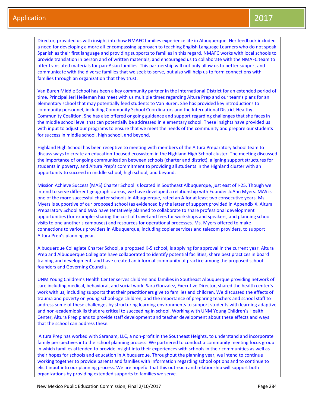Director, provided us with insight into how NMAFC families experience life in Albuquerque. Her feedback included a need for developing a more all-encompassing approach to teaching English Language Learners who do not speak Spanish as their first language and providing supports to families in this regard. NMAFC works with local schools to provide translation in person and of written materials, and encouraged us to collaborate with the NMAFC team to offer translated materials for pan-Asian families. This partnership will not only allow us to better support and communicate with the diverse families that we seek to serve, but also will help us to form connections with families through an organization that they trust.

Van Buren Middle School has been a key community partner in the International District for an extended period of time. Principal Jeri Heileman has meet with us multiple times regarding Altura Prep and our team's plans for an elementary school that may potentially feed students to Van Buren. She has provided key introductions to community personnel, including Community School Coordinators and the International District Healthy Community Coalition. She has also offered ongoing guidance and support regarding challenges that she faces in the middle school level that can potentially be addressed in elementary school. These insights have provided us with input to adjust our programs to ensure that we meet the needs of the community and prepare our students for success in middle school, high school, and beyond.

Highland High School has been receptive to meeting with members of the Altura Preparatory School team to discuss ways to create an education-focused ecosystem in the Highland High School cluster. The meeting discussed the importance of ongoing communication between schools (charter and district), aligning support structures for students in poverty, and Altura Prep's commitment to providing all students in the Highland cluster with an opportunity to succeed in middle school, high school, and beyond.

Mission Achieve Success (MAS) Charter School is located in Southeast Albuquerque, just east of I-25. Though we intend to serve different geographic areas, we have developed a relationship with Founder JoAnn Myers. MAS is one of the more successful charter schools in Albuquerque, rated an A for at least two consecutive years. Ms. Myers is supportive of our proposed school (as evidenced by the letter of support provided in Appendix X. Altura Preparatory School and MAS have tentatively planned to collaborate to share professional development opportunities (for example: sharing the cost of travel and fees for workshops and speakers, and planning school visits to one another's campuses) and resources for operational processes. Ms. Myers offered to make connections to various providers in Albuquerque, including copier services and telecom providers, to support Altura Prep's planning year.

Albuquerque Collegiate Charter School, a proposed K-5 school, is applying for approval in the current year. Altura Prep and Albuquerque Collegiate have collaborated to identify potential facilities, share best practices in board training and development, and have created an informal community of practice among the proposed school founders and Governing Councils.

UNM Young Children's Health Center serves children and families in Southeast Albuquerque providing network of care including medical, behavioral, and social work. Sara Gonzalez, Executive Director, shared the health center's work with us, including supports that their practitioners give to families and children. We discussed the effects of trauma and poverty on young school-age children, and the importance of preparing teachers and school staff to address some of these challenges by structuring learning environments to support students with learning adaptive and non-academic skills that are critical to succeeding in school. Working with UNM Young Children's Health Center, Altura Prep plans to provide staff development and teacher development about these effects and ways that the school can address these.

Altura Prep has worked with Saranam, LLC, a non-profit in the Southeast Heights, to understand and incorporate family perspectives into the school planning process. We partnered to conduct a community meeting focus group in which families attended to provide insight into their experiences with schools in their communities as well as their hopes for schools and education in Albuquerque. Throughout the planning year, we intend to continue working together to provide parents and families with information regarding school options and to continue to elicit input into our planning process. We are hopeful that this outreach and relationship will support both organizations by providing extended supports to families we serve.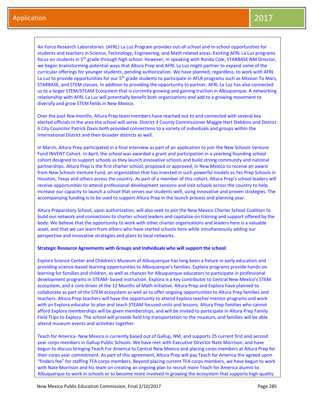Air Force Research Laboratories (AFRL) La Luz Program provides out-of-school and in-school opportunities for students and teachers in Science, Technology, Engineering, and Math related areas. Existing AFRL La Luz programs focus on students in 5th grade through high school. However, in speaking with Ronda Cole, STARBASE NM Director, we began brainstorming potential ways that Altura Prep and AFRL La Luz might partner to expand some of the curricular offerings for younger students, pending authorization. We have planned, regardless, to work with AFRL La Luz to provide opportunities for our 5<sup>th</sup> grade students to participate in AFLR programs such as Mission To Mars, STARBASE, and STEM classes. In addition to providing the opportunity to partner, AFRL La Luz has also connected us to a larger STEM/STEAM Ecosystem that is currently growing and gaining traction in Albuquerque. A networking relationship with AFRL La Luz will potentially benefit both organizations *and* add to a growing movement to diversify and grow STEM fields in New Mexico.

Over the past few months, Altura Prep team members have reached out to and connected with several key elected officials in the area the school will serve. District 3 County Commissioner Maggie Hart Stebbins and District 6 City Councilor Patrick Davis both provided connections to a variety of individuals and groups within the International District and their broader districts as well.

In March, Altura Prep participated in a final interview as part of an application to join the New Schools Venture Fund INVENT Cohort. In April, the school was awarded a grant and participation in a yearlong founding school cohort designed to support schools as they launch innovative schools and build strong community and national partnerships. Altura Prep is the first charter school, proposed or approved, in New Mexico to receive an award from New Schools Venture Fund, an organization that has invested in such powerful models as Yes Prep Schools in Houston, Texas and others across the country. As part of a member of this cohort, Altura Prep's school leaders will receive opportunities to attend professional development sessions and visit schools across the country to help increase our capacity to launch a school that serves our students well, using innovative and proven strategies. The accompanying funding is to be used to support Altura Prep in the launch process and planning year.

Altura Preparatory School, upon authorization, will also seek to join the New Mexico Charter School Coalition to build our network and connections to charter school leaders and capitalize on training and support offered by the body. We believe that the opportunity to work with other charter organizations and leaders here is a valuable asset, and that we can learn from others who have started schools here while simultaneously adding our perspective and innovative strategies and plans to local networks.

#### **Strategic Resource Agreements with Groups and Individuals who will support the school:**

Explora Science Center and Children's Museum of Albuquerque has long been a fixture in early education and providing science-based learning opportunities to Albuquerque's families. Explora programs provide hands-on learning for families and children, as well as chances for Albuquerque educators to participate in professional development programs in STEAM- based instruction. Explora is a key contributor to Central New Mexico's STEM ecosystem, and a core driver of the 12 Months of Math initiative. Altura Prep and Explora have planned to collaborate as part of the STEM ecosystem as well as to offer ongoing opportunities to Altura Prep families and teachers. Altura Prep teachers will have the opportunity to attend Explora teacher mentor programs and work with an Explora educator to plan and teach STEAM focused units and lessons. Altura Prep families who cannot afford Explora memberships will be given memberships, and will be invited to participate in Altura Prep Family Field Trips to Explora. The school will provide field trip transportation to the museum, and families will be able attend museum events and activities together.

Teach for America- New Mexico is currently based out of Gallup, NM, and supports 25 current first and second year corps members in Gallup Public Schools. We have met with Executive Director Nate Morrison, and have begun to discuss bringing Teach For America to Central New Mexico and placing corps members at Altura Prep for their corps year commitment. As part of this agreement, Altura Prep will pay Teach for America the agreed upon "finders fee" for staffing TFA corps members. Beyond placing current TFA corps members, we have begun to work with Nate Morrison and his team on creating an ongoing plan to recruit more Teach for America alumni to Albuquerque to work in schools or to become more involved in growing the ecosystem that supports high quality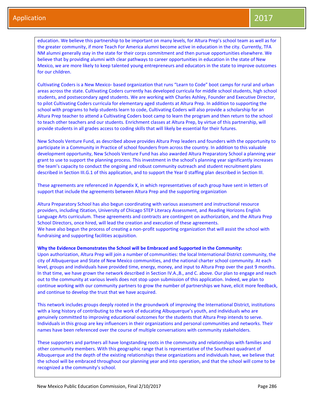education. We believe this partnership to be important on many levels, for Altura Prep's school team as well as for the greater community, if more Teach For America alumni become active in education in the city. Currently, TFA NM alumni generally stay in the state for their corps commitment and then pursue opportunities elsewhere. We believe that by providing alumni with clear pathways to career opportunities in education in the state of New Mexico, we are more likely to keep talented young entrepreneurs and educators in the state to improve outcomes for our children.

Cultivating Coders is a New Mexico- based organization that runs "Learn to Code" boot camps for rural and urban areas across the state. Cultivating Coders currently has developed curricula for middle school students, high school students, and postsecondary aged students. We are working with Charles Ashley, Founder and Executive Director, to pilot Cultivating Coders curricula for elementary aged students at Altura Prep. In addition to supporting the school with programs to help students learn to code, Cultivating Coders will also provide a scholarship for an Altura Prep teacher to attend a Cultivating Coders boot camp to learn the program and then return to the school to teach other teachers and our students. Enrichment classes at Altura Prep, by virtue of this partnership, will provide students in all grades access to coding skills that will likely be essential for their futures.

New Schools Venture Fund, as described above provides Altura Prep leaders and founders with the opportunity to participate in a Community in Practice of school founders from across the country. In addition to this valuable development opportunity, New Schools Venture Fund has also awarded Altura Preparatory School a planning year grant to use to support the planning process. This investment in the school's planning year significantly increases the team's capacity to conduct the ongoing and robust community outreach and student recruitment plans described in Section III.G.1 of this application, and to support the Year 0 staffing plan described in Section III.

These agreements are referenced in Appendix X, in which representatives of each group have sent in letters of support that include the agreements between Altura Prep and the supporting organization

Altura Preparatory School has also begun coordinating with various assessment and instructional resource providers, including IStation, University of Chicago STEP Literacy Assessment, and Reading Horizons English Language Arts curriculum. These agreements and contracts are contingent on authorization, and the Altura Prep School Directors, once hired, will lead the creation and execution of these agreements. We have also begun the process of creating a non-profit supporting organization that will assist the school with fundraising and supporting facilities acquisition.

#### **Why the Evidence Demonstrates the School will be Embraced and Supported in the Community:**

Upon authorization, Altura Prep will join a number of communities: the local International District community, the city of Albuquerque and State of New Mexico communities, and the national charter school community. At each level, groups and individuals have provided time, energy, money, and input to Altura Prep over the past 9 months. In that time, we have grown the network described in Section IV.A.,B., and C. above. Our plan to engage and reach out to the community at various levels does not stop upon submission of this application. Indeed, we plan to continue working with our community partners to grow the number of partnerships we have, elicit more feedback, and continue to develop the trust that we have acquired.

This network includes groups deeply rooted in the groundwork of improving the International District, institutions with a long history of contributing to the work of educating Albuquerque's youth, and individuals who are genuinely committed to improving educational outcomes for the students that Altura Prep intends to serve. Individuals in this group are key influencers in their organizations and personal communities and networks. Their names have been referenced over the course of multiple conversations with community stakeholders.

These supporters and partners all have longstanding roots in the community and relationships with families and other community members. With this geographic range that is representative of the Southeast quadrant of Albuquerque and the depth of the existing relationships these organizations and individuals have, we believe that the school will be embraced throughout our planning year and into operation, and that the school will come to be recognized a the community's school.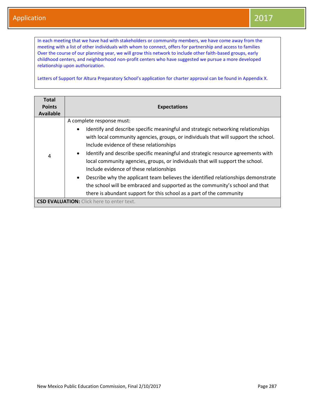In each meeting that we have had with stakeholders or community members, we have come away from the meeting with a list of other individuals with whom to connect, offers for partnership and access to families Over the course of our planning year, we will grow this network to include other faith-based groups, early childhood centers, and neighborhood non-profit centers who have suggested we pursue a more developed relationship upon authorization.

Letters of Support for Altura Preparatory School's application for charter approval can be found in Appendix X.

| <b>Total</b><br><b>Points</b><br>Available | <b>Expectations</b>                                                                                                                                                                                                                                                                                                                                                                                                                                                                                                                                                                                                                                                                                                                                  |
|--------------------------------------------|------------------------------------------------------------------------------------------------------------------------------------------------------------------------------------------------------------------------------------------------------------------------------------------------------------------------------------------------------------------------------------------------------------------------------------------------------------------------------------------------------------------------------------------------------------------------------------------------------------------------------------------------------------------------------------------------------------------------------------------------------|
| 4                                          | A complete response must:<br>Identify and describe specific meaningful and strategic networking relationships<br>$\bullet$<br>with local community agencies, groups, or individuals that will support the school.<br>Include evidence of these relationships<br>Identify and describe specific meaningful and strategic resource agreements with<br>$\bullet$<br>local community agencies, groups, or individuals that will support the school.<br>Include evidence of these relationships<br>Describe why the applicant team believes the identified relationships demonstrate<br>$\bullet$<br>the school will be embraced and supported as the community's school and that<br>there is abundant support for this school as a part of the community |
|                                            | <b>CSD EVALUATION:</b> Click here to enter text.                                                                                                                                                                                                                                                                                                                                                                                                                                                                                                                                                                                                                                                                                                     |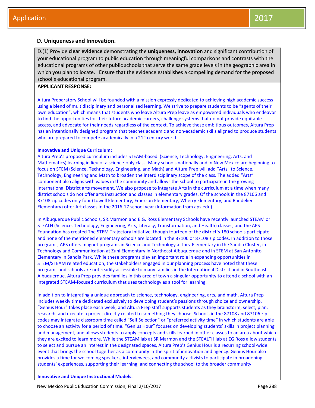## **D. Uniqueness and Innovation.**

D.(1) Provide **clear evidence** demonstrating the **uniqueness, innovation** and significant contribution of your educational program to public education through meaningful comparisons and contrasts with the educational programs of other public schools that serve the same grade levels in the geographic area in which you plan to locate. Ensure that the evidence establishes a compelling demand for the proposed school's educational program.

## **APPLICANT RESPONSE:**

Altura Preparatory School will be founded with a mission expressly dedicated to achieving high academic success using a blend of multidisciplinary and personalized learning. We strive to prepare students to be "agents of their own education", which means that students who leave Altura Prep leave as empowered individuals who endeavor to find the opportunities for their future academic careers, challenge systems that do not provide equitable access, and advocate for their needs regardless of the context. To achieve these ambitious outcomes, Altura Prep has an intentionally designed program that teaches academic and non-academic skills aligned to produce students who are prepared to compete academically in a 21<sup>st</sup> century world.

#### **Innovative and Unique Curriculum:**

Altura Prep's proposed curriculum includes STEAM-based (Science, Technology, Engineering, Arts, and Mathematics) learning in lieu of a science-only class. Many schools nationally and in New Mexico are beginning to focus on STEM (Science, Technology, Engineering, and Math) and Altura Prep will add "Arts" to Science, Technology, Engineering and Math to broaden the interdisciplinary scope of the class. The added "Arts" component also aligns with values in the community and allows the school to participate in the growing International District arts movement. We also propose to integrate Arts in the curriculum at a time when many district schools do not offer arts instruction and classes in elementary grades. Of the schools in the 87106 and 87108 zip codes only four (Lowell Elementary, Emerson Elementary, Wherry Elementary, and Bandelier Elementary) offer Art classes in the 2016-17 school year (Information from aps.edu).

In Albuquerque Public Schools, SR.Marmon and E.G. Ross Elementary Schools have recently launched STEAM or STEALH (Science, Technology, Engineering, Arts, Literacy, Transformation, and Health) classes, and the APS Foundation has created The STEM Trajectory Initiative, though fourteen of the district's 180 schools participate, and none of the mentioned elementary schools are located in the 87106 or 87108 zip codes. In addition to those programs, APS offers magnet programs in Science and Technology at Inez Elementary in the Sandia Cluster, in Technology and Communication at Zuni Elementary in Northeast Albuquerque and in STEM at San Antonito Elementary in Sandia Park. While these programs play an important role in expanding opportunities in STEM/STEAM related education, the stakeholders engaged in our planning process have noted that these programs and schools are not readily accessible to many families in the International District and in Southeast Albuquerque. Altura Prep provides families in this area of town a singular opportunity to attend a school with an integrated STEAM-focused curriculum that uses technology as a tool for learning.

In addition to integrating a unique approach to science, technology, engineering, arts, and math, Altura Prep includes weekly time dedicated exclusively to developing student's passions through choice and ownership. "Genius Hour" takes place each week, and Altura Prep staff supports students as they brainstorm, select, plan, research, and execute a project directly related to something they choose. Schools in the 87108 and 87106 zip codes may integrate classroom time called "Self Selection" or "preferred activity time" in which students are able to choose an activity for a period of time. "Genius Hour" focuses on developing students' skills in project planning and management, and allows students to apply concepts and skills learned in other classes to an area about which they are excited to learn more. While the STEAM lab at SR Marmon and the STEALTH lab at EG Ross allow students to select and pursue an interest in the designated spaces, Altura Prep's Genius Hour is a recurring school-wide event that brings the school together as a community in the spirit of innovation and agency. Genius Hour also provides a time for welcoming speakers, interviewees, and community activists to participate in broadening students' experiences, supporting their learning, and connecting the school to the broader community.

**Innovative and Unique Instructional Models:**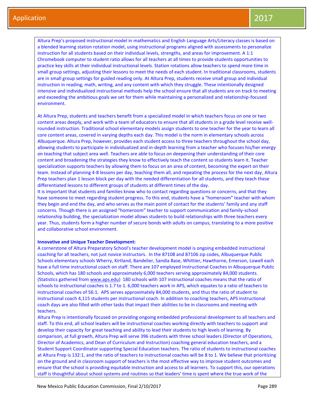Altura Prep's proposed instructional model in mathematics and English Language Arts/Literacy classes is based on a blended learning station rotation model, using instructional programs aligned with assessments to personalize instruction for all students based on their individual levels, strengths, and areas for improvement. A 1:1 Chromebook computer to student ratio allows for all teachers at all times to provide students opportunities to practice key skills at their individual instructional levels. Station rotations allow teachers to spend more time in small group settings, adjusting their lessons to meet the needs of each student. In traditional classrooms, students are in small group settings for guided reading only. At Altura Prep, students receive small group and individual instruction in reading, math, writing, and any content with which they struggle. These intentionally designed intensive and individualized instructional methods help the school ensure that all students are on track to meeting and exceeding the ambitious goals we set for them while maintaining a personalized and relationship-focused environment.

At Altura Prep, students and teachers benefit from a specialized model in which teachers focus on one or two content areas deeply, and work with a team of educators to ensure that all students in a grade level receive wellrounded instruction. Traditional school elementary models assign students to one teacher for the year to learn all core content areas, covered in varying depths each day. This model is the norm in elementary schools across Albuquerque. Altura Prep, however, provides each student access to three teachers throughout the school day, allowing students to participate in individualized and in-depth learning from a teacher who focuses his/her energy on teaching that subject area well. Teachers are able to focus on deepening their understanding of their core content and broadening the strategies they know to effectively teach the content so students learn it. Teacher specialization supports teachers by allowing them to focus on an area of content, becoming the expert on their team. Instead of planning 4-8 lessons per day, teaching them all, and repeating the process for the next day, Altura Prep teachers plan 1 lesson block per day with the needed differentiation for all students, and they teach these differentiated lessons to different groups of students at different times of the day.

It is important that students and families know who to contact regarding questions or concerns, and that they have someone to meet regarding student progress. To this end, students have a "homeroom" teacher with whom they begin and end the day, and who serves as the main point of contact for the students' family and any staff concerns. Though there is an assigned "homeroom" teacher to support communication and family-school relationship building, the specialization model allows students to build relationships with three teachers every year. Thus, students form a higher number of secure bonds with adults on campus, translating to a more positive and collaborative school environment.

#### **Innovative and Unique Teacher Development:**

A cornerstone of Altura Preparatory School's teacher development model is ongoing embedded instructional coaching for all teachers, not just novice instructors. In the 87108 and 87106 zip codes, Albuquerque Public Schools elementary schools Wherry, Kirtland, Bandelier, Sandia Base, Whittier, Hawthorne, Emerson, Lowell each have a full time instructional coach on staff. There are 107 employed Instructional Coaches in Albuquerque Public Schools, which has 180 schools and approximately 6,000 teachers serving approximately 84,000 students. (Statistics gathered from [www.aps.edu\)](http://www.aps.edu/) 180 schools with 107 instructional coaches means that the ratio of schools to instructional coaches is 1.7 to 1. 6,000 teachers work in APS, which equates to a ratio of teachers to instructional coaches of 56:1. APS serves approximately 84,000 students, and thus the ratio of student to instructional coach 4,115 students per instructional coach. In addition to coaching teachers, APS instructional coach days are also filled with other tasks that impact their abilities to be in classrooms and meeting with teachers.

Altura Prep is intentionally focused on providing ongoing embedded professional development to all teachers and staff. To this end, all school leaders will be instructional coaches working directly with teachers to support and develop their capacity for great teaching and ability to lead their students to high levels of learning. By comparison, at full growth, Altura Prep will serve 396 students with three school leaders (Director of Operations, Director of Academics, and Dean of Curriculum and Instruction) coaching general education teachers, and a Student Support Coordinator supporting Special Education teachers. The ratio of students to instructional coaches at Altura Prep is 132:1, and the ratio of teachers to instructional coaches will be 8 to 1. We believe that prioritizing on the ground and in classroom support of teachers is the most effective way to improve student outcomes and ensure that the school is providing equitable instruction and access to all learners. To support this, our operations staff is thoughtful about school systems and routines so that leaders' time is spent where the true work of the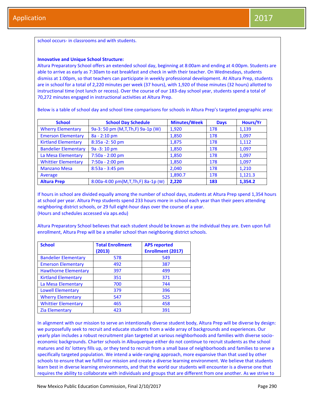school occurs- in classrooms and with students.

#### **Innovative and Unique School Structure:**

Altura Preparatory School offers an extended school day, beginning at 8:00am and ending at 4:00pm. Students are able to arrive as early as 7:30am to eat breakfast and check in with their teacher. On Wednesdays, students dismiss at 1:00pm, so that teachers can participate in weekly professional development. At Altura Prep, students are in school for a total of 2,220 minutes per week (37 hours), with 1,920 of those minutes (32 hours) allotted to instructional time (not lunch or recess). Over the course of our 183-day school year, students spend a total of 70,272 minutes engaged in instructional activities at Altura Prep.

Below is a table of school day and school time comparisons for schools in Altura Prep's targeted geographic area:

| <b>School</b>               | <b>School Day Schedule</b>          | <b>Minutes/Week</b> | <b>Days</b> | Hours/Yr |
|-----------------------------|-------------------------------------|---------------------|-------------|----------|
| <b>Wherry Elementary</b>    | 9a-3: 50 pm (M, T, Th, F) 9a-1p (W) | 1,920               | 178         | 1,139    |
| <b>Emerson Elementary</b>   | 8a - 2:10 pm                        | 1,850               | 178         | 1,097    |
| <b>Kirtland Elementary</b>  | 8:35a - 2:50 pm                     | 1,875               | 178         | 1,112    |
| <b>Bandelier Elementary</b> | 9a - 3:10 pm                        | 1,850               | 178         | 1,097    |
| La Mesa Elementary          | 7:50a - 2:00 pm                     | 1,850               | 178         | 1,097    |
| <b>Whittier Elementary</b>  | 7:50a - 2:00 pm                     | 1,850               | 178         | 1,097    |
| <b>Manzano Mesa</b>         | $8:53a - 3:45 pm$                   | 2,040               | 178         | 1,210    |
| Average                     |                                     | 1,890.7             | 178         | 1,121.3  |
| <b>Altura Prep</b>          | 8:00a-4:00 pm(M,T,Th,F) 8a-1p (W)   | 2.220               | 183         | 1,354.2  |

If hours in school are divided equally among the number of school days, students at Altura Prep spend 1,354 hours at school per year. Altura Prep students spend 233 hours more in school each year than their peers attending neighboring district schools, or 29 full eight-hour days over the course of a year. (Hours and schedules accessed via aps.edu)

Altura Preparatory School believes that each student should be known as the individual they are. Even upon full enrollment, Altura Prep will be a smaller school than neighboring district schools.

| <b>School</b>               | <b>Total Enrollment</b><br>(2013) | <b>APS reported</b><br><b>Enrollment (2017)</b> |
|-----------------------------|-----------------------------------|-------------------------------------------------|
| <b>Bandelier Elementary</b> | 578                               | 549                                             |
| <b>Emerson Elementary</b>   | 492                               | 387                                             |
| <b>Hawthorne Elementary</b> | 397                               | 499                                             |
| <b>Kirtland Elementary</b>  | 351                               | 371                                             |
| La Mesa Elementary          | 700                               | 744                                             |
| <b>Lowell Elementary</b>    | 379                               | 396                                             |
| <b>Wherry Elementary</b>    | 547                               | 525                                             |
| <b>Whittier Elementary</b>  | 465                               | 458                                             |
| <b>Zia Elementary</b>       | 423                               | 391                                             |

In alignment with our mission to serve an intentionally diverse student body, Altura Prep will be diverse by design: we purposefully seek to recruit and educate students from a wide array of backgrounds and experiences. Our yearly plan includes a robust recruitment plan targeted at various neighborhoods and families with diverse socioeconomic backgrounds. Charter schools in Albuquerque either do not continue to recruit students as the school matures and its' lottery fills up, or they tend to recruit from a small base of neighborhoods and families to serve a specifically targeted population. We intend a wide-ranging approach, more expansive than that used by other schools to ensure that we fulfill our mission and create a diverse learning environment. We believe that students learn best in diverse learning environments, and that the world our students will encounter is a diverse one that requires the ability to collaborate with individuals and groups that are different from one another. As we strive to